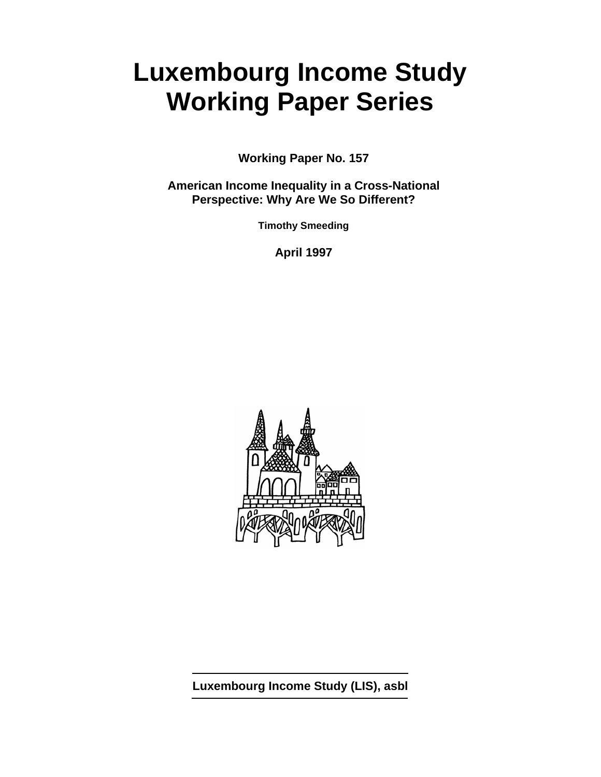# **Luxembourg Income Study Working Paper Series**

**Working Paper No. 157** 

**American Income Inequality in a Cross-National Perspective: Why Are We So Different?** 

**Timothy Smeeding** 

**April 1997** 



**Luxembourg Income Study (LIS), asbl**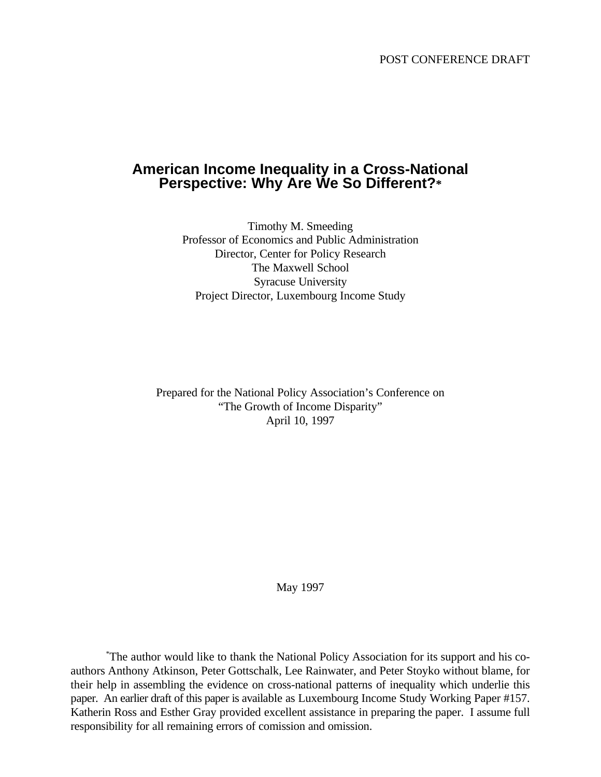POST CONFERENCE DRAFT

# **American Income Inequality in a Cross-National Perspective: Why Are We So Different?\***

Timothy M. Smeeding Professor of Economics and Public Administration Director, Center for Policy Research The Maxwell School Syracuse University Project Director, Luxembourg Income Study

Prepared for the National Policy Association's Conference on "The Growth of Income Disparity" April 10, 1997

May 1997

The author would like to thank the National Policy Association for its support and his co- \* authors Anthony Atkinson, Peter Gottschalk, Lee Rainwater, and Peter Stoyko without blame, for their help in assembling the evidence on cross-national patterns of inequality which underlie this paper. An earlier draft of this paper is available as Luxembourg Income Study Working Paper #157. Katherin Ross and Esther Gray provided excellent assistance in preparing the paper. I assume full responsibility for all remaining errors of comission and omission.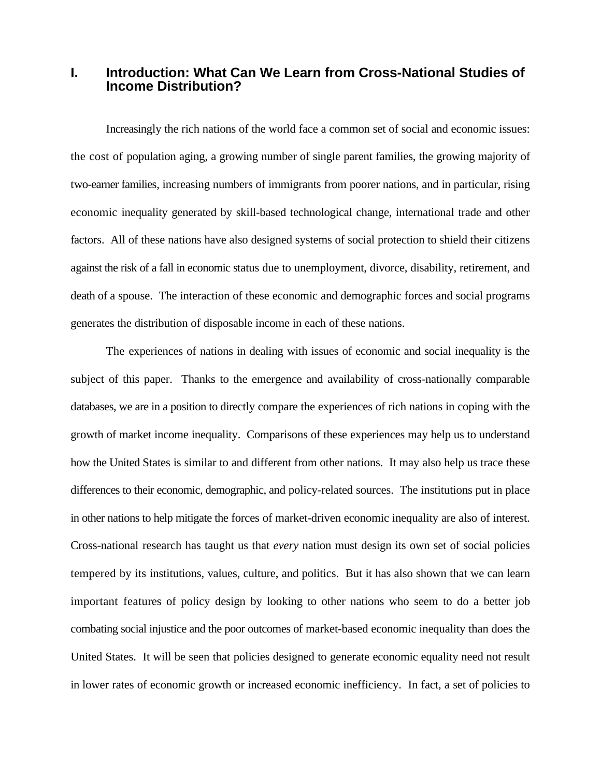# **I. Introduction: What Can We Learn from Cross-National Studies of Income Distribution?**

Increasingly the rich nations of the world face a common set of social and economic issues: the cost of population aging, a growing number of single parent families, the growing majority of two-earner families, increasing numbers of immigrants from poorer nations, and in particular, rising economic inequality generated by skill-based technological change, international trade and other factors. All of these nations have also designed systems of social protection to shield their citizens against the risk of a fall in economic status due to unemployment, divorce, disability, retirement, and death of a spouse. The interaction of these economic and demographic forces and social programs generates the distribution of disposable income in each of these nations.

The experiences of nations in dealing with issues of economic and social inequality is the subject of this paper. Thanks to the emergence and availability of cross-nationally comparable databases, we are in a position to directly compare the experiences of rich nations in coping with the growth of market income inequality. Comparisons of these experiences may help us to understand how the United States is similar to and different from other nations. It may also help us trace these differences to their economic, demographic, and policy-related sources. The institutions put in place in other nations to help mitigate the forces of market-driven economic inequality are also of interest. Cross-national research has taught us that *every* nation must design its own set of social policies tempered by its institutions, values, culture, and politics. But it has also shown that we can learn important features of policy design by looking to other nations who seem to do a better job combating social injustice and the poor outcomes of market-based economic inequality than does the United States. It will be seen that policies designed to generate economic equality need not result in lower rates of economic growth or increased economic inefficiency. In fact, a set of policies to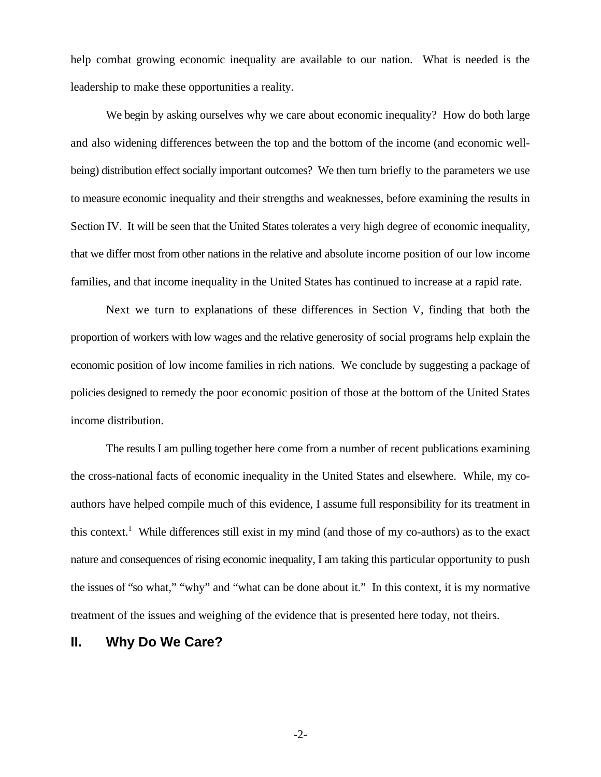help combat growing economic inequality are available to our nation. What is needed is the leadership to make these opportunities a reality.

We begin by asking ourselves why we care about economic inequality? How do both large and also widening differences between the top and the bottom of the income (and economic wellbeing) distribution effect socially important outcomes? We then turn briefly to the parameters we use to measure economic inequality and their strengths and weaknesses, before examining the results in Section IV. It will be seen that the United States tolerates a very high degree of economic inequality, that we differ most from other nations in the relative and absolute income position of our low income families, and that income inequality in the United States has continued to increase at a rapid rate.

Next we turn to explanations of these differences in Section V, finding that both the proportion of workers with low wages and the relative generosity of social programs help explain the economic position of low income families in rich nations. We conclude by suggesting a package of policies designed to remedy the poor economic position of those at the bottom of the United States income distribution.

The results I am pulling together here come from a number of recent publications examining the cross-national facts of economic inequality in the United States and elsewhere. While, my coauthors have helped compile much of this evidence, I assume full responsibility for its treatment in this context.<sup>1</sup> While differences still exist in my mind (and those of my co-authors) as to the exact nature and consequences of rising economic inequality, I am taking this particular opportunity to push the issues of "so what," "why" and "what can be done about it." In this context, it is my normative treatment of the issues and weighing of the evidence that is presented here today, not theirs.

#### **II. Why Do We Care?**

-2-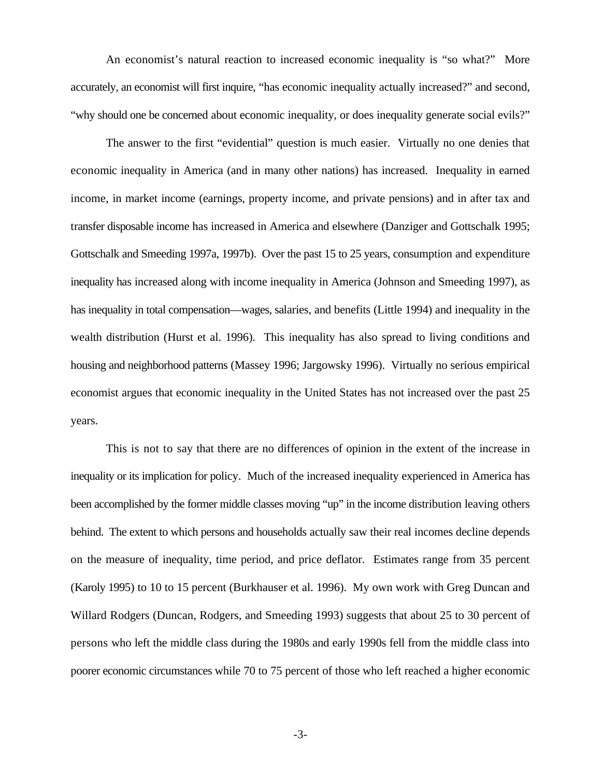An economist's natural reaction to increased economic inequality is "so what?" More accurately, an economist will first inquire, "has economic inequality actually increased?" and second, "why should one be concerned about economic inequality, or does inequality generate social evils?"

The answer to the first "evidential" question is much easier. Virtually no one denies that economic inequality in America (and in many other nations) has increased. Inequality in earned income, in market income (earnings, property income, and private pensions) and in after tax and transfer disposable income has increased in America and elsewhere (Danziger and Gottschalk 1995; Gottschalk and Smeeding 1997a, 1997b). Over the past 15 to 25 years, consumption and expenditure inequality has increased along with income inequality in America (Johnson and Smeeding 1997), as has inequality in total compensation—wages, salaries, and benefits (Little 1994) and inequality in the wealth distribution (Hurst et al. 1996). This inequality has also spread to living conditions and housing and neighborhood patterns (Massey 1996; Jargowsky 1996). Virtually no serious empirical economist argues that economic inequality in the United States has not increased over the past 25 years.

This is not to say that there are no differences of opinion in the extent of the increase in inequality or its implication for policy. Much of the increased inequality experienced in America has been accomplished by the former middle classes moving "up" in the income distribution leaving others behind. The extent to which persons and households actually saw their real incomes decline depends on the measure of inequality, time period, and price deflator. Estimates range from 35 percent (Karoly 1995) to 10 to 15 percent (Burkhauser et al. 1996). My own work with Greg Duncan and Willard Rodgers (Duncan, Rodgers, and Smeeding 1993) suggests that about 25 to 30 percent of persons who left the middle class during the 1980s and early 1990s fell from the middle class into poorer economic circumstances while 70 to 75 percent of those who left reached a higher economic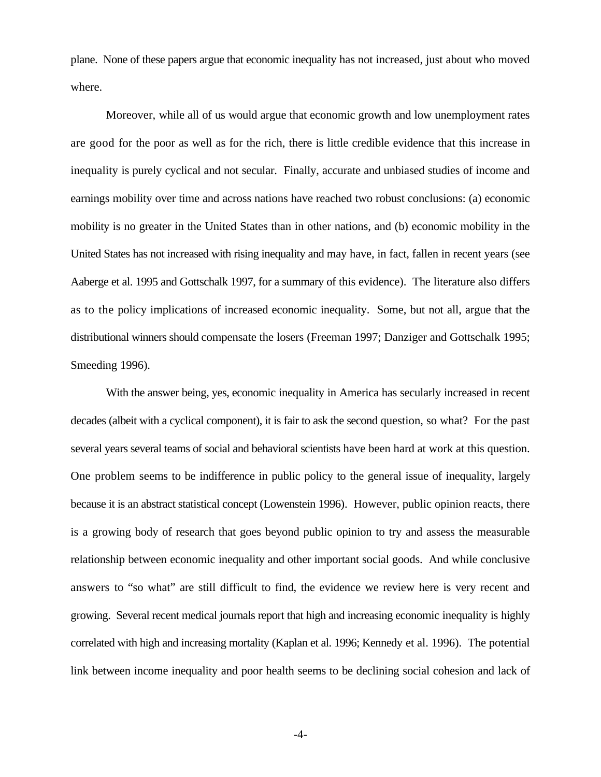plane. None of these papers argue that economic inequality has not increased, just about who moved where.

Moreover, while all of us would argue that economic growth and low unemployment rates are good for the poor as well as for the rich, there is little credible evidence that this increase in inequality is purely cyclical and not secular. Finally, accurate and unbiased studies of income and earnings mobility over time and across nations have reached two robust conclusions: (a) economic mobility is no greater in the United States than in other nations, and (b) economic mobility in the United States has not increased with rising inequality and may have, in fact, fallen in recent years (see Aaberge et al. 1995 and Gottschalk 1997, for a summary of this evidence). The literature also differs as to the policy implications of increased economic inequality. Some, but not all, argue that the distributional winners should compensate the losers (Freeman 1997; Danziger and Gottschalk 1995; Smeeding 1996).

With the answer being, yes, economic inequality in America has secularly increased in recent decades (albeit with a cyclical component), it is fair to ask the second question, so what? For the past several years several teams of social and behavioral scientists have been hard at work at this question. One problem seems to be indifference in public policy to the general issue of inequality, largely because it is an abstract statistical concept (Lowenstein 1996). However, public opinion reacts, there is a growing body of research that goes beyond public opinion to try and assess the measurable relationship between economic inequality and other important social goods. And while conclusive answers to "so what" are still difficult to find, the evidence we review here is very recent and growing. Several recent medical journals report that high and increasing economic inequality is highly correlated with high and increasing mortality (Kaplan et al. 1996; Kennedy et al. 1996). The potential link between income inequality and poor health seems to be declining social cohesion and lack of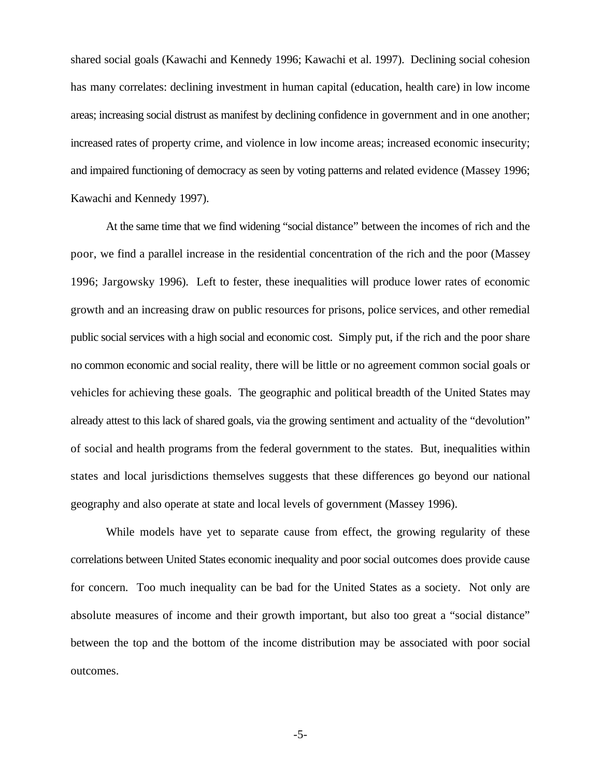shared social goals (Kawachi and Kennedy 1996; Kawachi et al. 1997). Declining social cohesion has many correlates: declining investment in human capital (education, health care) in low income areas; increasing social distrust as manifest by declining confidence in government and in one another; increased rates of property crime, and violence in low income areas; increased economic insecurity; and impaired functioning of democracy as seen by voting patterns and related evidence (Massey 1996; Kawachi and Kennedy 1997).

At the same time that we find widening "social distance" between the incomes of rich and the poor, we find a parallel increase in the residential concentration of the rich and the poor (Massey 1996; Jargowsky 1996). Left to fester, these inequalities will produce lower rates of economic growth and an increasing draw on public resources for prisons, police services, and other remedial public social services with a high social and economic cost. Simply put, if the rich and the poor share no common economic and social reality, there will be little or no agreement common social goals or vehicles for achieving these goals. The geographic and political breadth of the United States may already attest to this lack of shared goals, via the growing sentiment and actuality of the "devolution" of social and health programs from the federal government to the states. But, inequalities within states and local jurisdictions themselves suggests that these differences go beyond our national geography and also operate at state and local levels of government (Massey 1996).

While models have yet to separate cause from effect, the growing regularity of these correlations between United States economic inequality and poor social outcomes does provide cause for concern. Too much inequality can be bad for the United States as a society. Not only are absolute measures of income and their growth important, but also too great a "social distance" between the top and the bottom of the income distribution may be associated with poor social outcomes.

-5-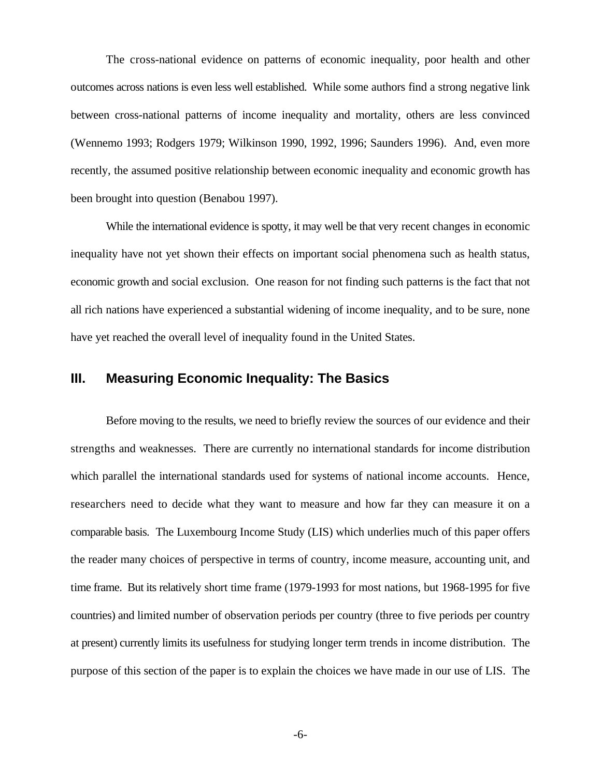The cross-national evidence on patterns of economic inequality, poor health and other outcomes across nations is even less well established. While some authors find a strong negative link between cross-national patterns of income inequality and mortality, others are less convinced (Wennemo 1993; Rodgers 1979; Wilkinson 1990, 1992, 1996; Saunders 1996). And, even more recently, the assumed positive relationship between economic inequality and economic growth has been brought into question (Benabou 1997).

While the international evidence is spotty, it may well be that very recent changes in economic inequality have not yet shown their effects on important social phenomena such as health status, economic growth and social exclusion. One reason for not finding such patterns is the fact that not all rich nations have experienced a substantial widening of income inequality, and to be sure, none have yet reached the overall level of inequality found in the United States.

# **III. Measuring Economic Inequality: The Basics**

Before moving to the results, we need to briefly review the sources of our evidence and their strengths and weaknesses. There are currently no international standards for income distribution which parallel the international standards used for systems of national income accounts. Hence, researchers need to decide what they want to measure and how far they can measure it on a comparable basis. The Luxembourg Income Study (LIS) which underlies much of this paper offers the reader many choices of perspective in terms of country, income measure, accounting unit, and time frame. But its relatively short time frame (1979-1993 for most nations, but 1968-1995 for five countries) and limited number of observation periods per country (three to five periods per country at present) currently limits its usefulness for studying longer term trends in income distribution. The purpose of this section of the paper is to explain the choices we have made in our use of LIS. The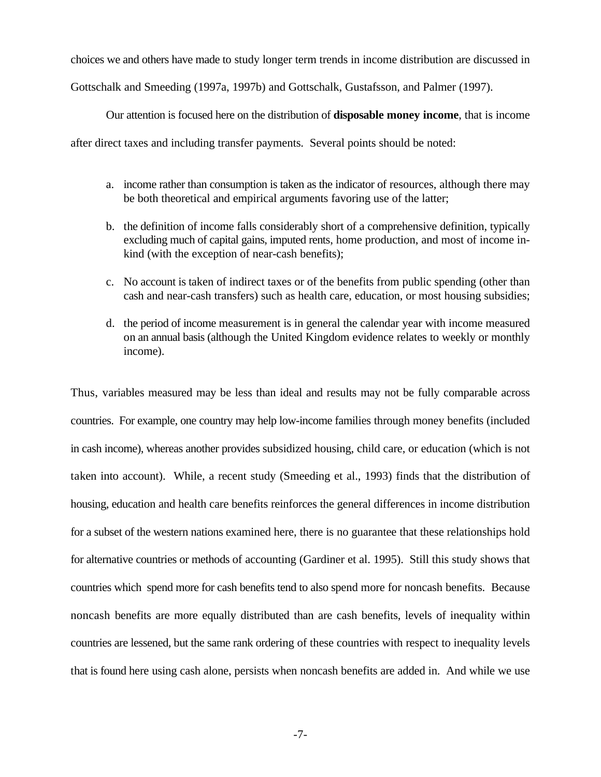choices we and others have made to study longer term trends in income distribution are discussed in

Gottschalk and Smeeding (1997a, 1997b) and Gottschalk, Gustafsson, and Palmer (1997).

Our attention is focused here on the distribution of **disposable money income**, that is income after direct taxes and including transfer payments. Several points should be noted:

- a. income rather than consumption is taken as the indicator of resources, although there may be both theoretical and empirical arguments favoring use of the latter;
- b. the definition of income falls considerably short of a comprehensive definition, typically excluding much of capital gains, imputed rents, home production, and most of income inkind (with the exception of near-cash benefits);
- c. No account is taken of indirect taxes or of the benefits from public spending (other than cash and near-cash transfers) such as health care, education, or most housing subsidies;
- d. the period of income measurement is in general the calendar year with income measured on an annual basis (although the United Kingdom evidence relates to weekly or monthly income).

Thus, variables measured may be less than ideal and results may not be fully comparable across countries. For example, one country may help low-income families through money benefits (included in cash income), whereas another provides subsidized housing, child care, or education (which is not taken into account). While, a recent study (Smeeding et al., 1993) finds that the distribution of housing, education and health care benefits reinforces the general differences in income distribution for a subset of the western nations examined here, there is no guarantee that these relationships hold for alternative countries or methods of accounting (Gardiner et al. 1995). Still this study shows that countries which spend more for cash benefits tend to also spend more for noncash benefits. Because noncash benefits are more equally distributed than are cash benefits, levels of inequality within countries are lessened, but the same rank ordering of these countries with respect to inequality levels that is found here using cash alone, persists when noncash benefits are added in. And while we use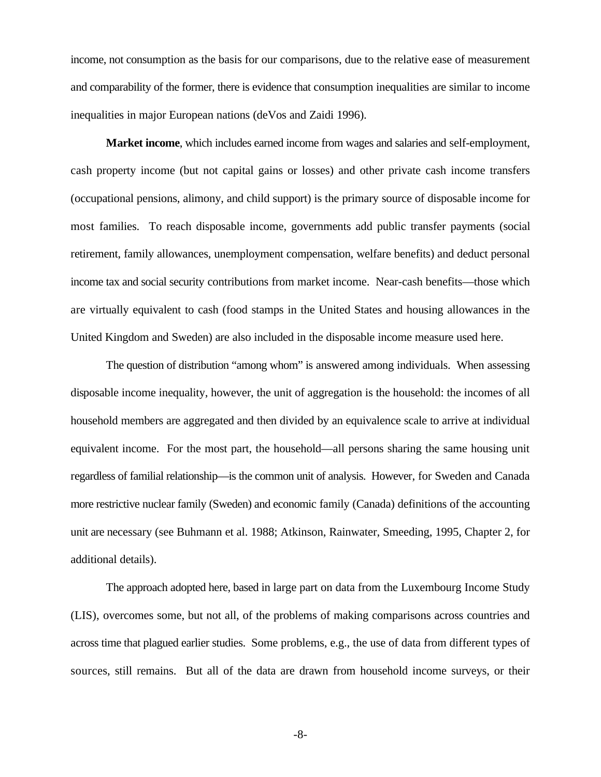income, not consumption as the basis for our comparisons, due to the relative ease of measurement and comparability of the former, there is evidence that consumption inequalities are similar to income inequalities in major European nations (deVos and Zaidi 1996).

**Market income**, which includes earned income from wages and salaries and self-employment, cash property income (but not capital gains or losses) and other private cash income transfers (occupational pensions, alimony, and child support) is the primary source of disposable income for most families. To reach disposable income, governments add public transfer payments (social retirement, family allowances, unemployment compensation, welfare benefits) and deduct personal income tax and social security contributions from market income. Near-cash benefits—those which are virtually equivalent to cash (food stamps in the United States and housing allowances in the United Kingdom and Sweden) are also included in the disposable income measure used here.

The question of distribution "among whom" is answered among individuals. When assessing disposable income inequality, however, the unit of aggregation is the household: the incomes of all household members are aggregated and then divided by an equivalence scale to arrive at individual equivalent income. For the most part, the household—all persons sharing the same housing unit regardless of familial relationship—is the common unit of analysis. However, for Sweden and Canada more restrictive nuclear family (Sweden) and economic family (Canada) definitions of the accounting unit are necessary (see Buhmann et al. 1988; Atkinson, Rainwater, Smeeding, 1995, Chapter 2, for additional details).

The approach adopted here, based in large part on data from the Luxembourg Income Study (LIS), overcomes some, but not all, of the problems of making comparisons across countries and across time that plagued earlier studies. Some problems, e.g., the use of data from different types of sources, still remains. But all of the data are drawn from household income surveys, or their

-8-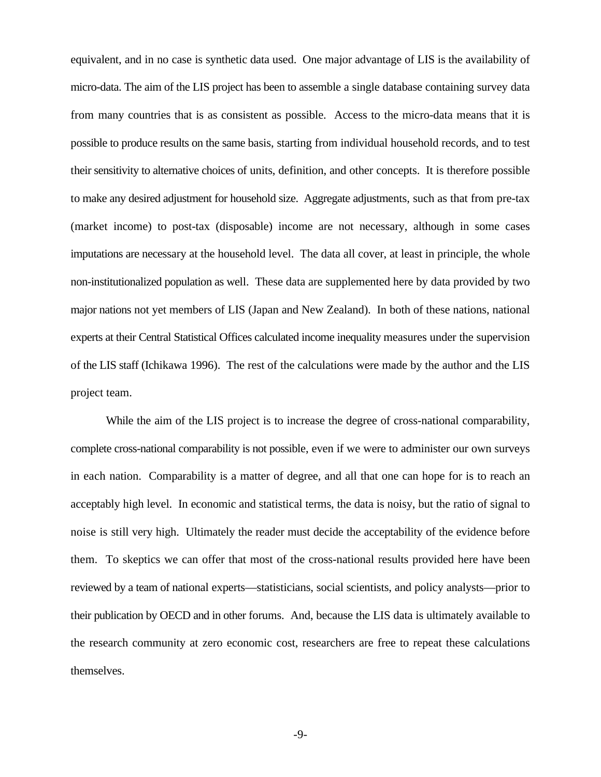equivalent, and in no case is synthetic data used. One major advantage of LIS is the availability of micro-data. The aim of the LIS project has been to assemble a single database containing survey data from many countries that is as consistent as possible. Access to the micro-data means that it is possible to produce results on the same basis, starting from individual household records, and to test their sensitivity to alternative choices of units, definition, and other concepts. It is therefore possible to make any desired adjustment for household size. Aggregate adjustments, such as that from pre-tax (market income) to post-tax (disposable) income are not necessary, although in some cases imputations are necessary at the household level. The data all cover, at least in principle, the whole non-institutionalized population as well. These data are supplemented here by data provided by two major nations not yet members of LIS (Japan and New Zealand). In both of these nations, national experts at their Central Statistical Offices calculated income inequality measures under the supervision of the LIS staff (Ichikawa 1996). The rest of the calculations were made by the author and the LIS project team.

While the aim of the LIS project is to increase the degree of cross-national comparability, complete cross-national comparability is not possible, even if we were to administer our own surveys in each nation. Comparability is a matter of degree, and all that one can hope for is to reach an acceptably high level. In economic and statistical terms, the data is noisy, but the ratio of signal to noise is still very high. Ultimately the reader must decide the acceptability of the evidence before them. To skeptics we can offer that most of the cross-national results provided here have been reviewed by a team of national experts—statisticians, social scientists, and policy analysts—prior to their publication by OECD and in other forums. And, because the LIS data is ultimately available to the research community at zero economic cost, researchers are free to repeat these calculations themselves.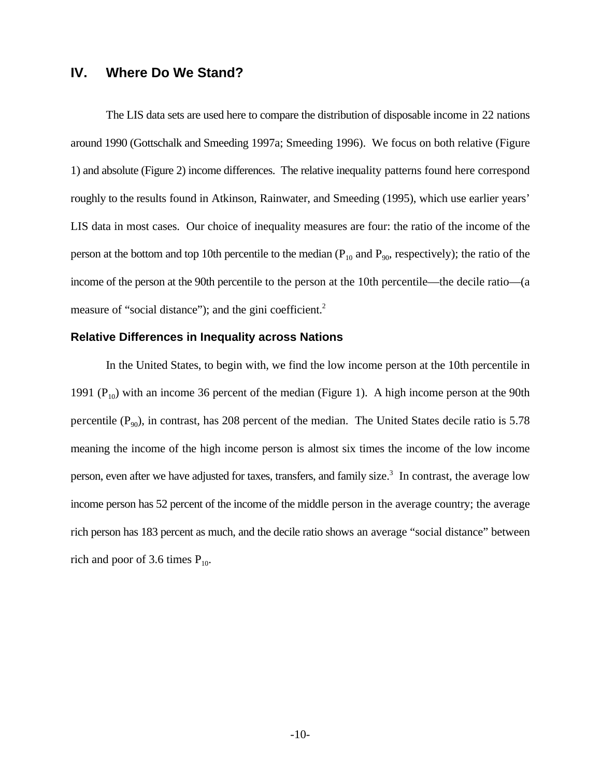## **IV. Where Do We Stand?**

The LIS data sets are used here to compare the distribution of disposable income in 22 nations around 1990 (Gottschalk and Smeeding 1997a; Smeeding 1996). We focus on both relative (Figure 1) and absolute (Figure 2) income differences. The relative inequality patterns found here correspond roughly to the results found in Atkinson, Rainwater, and Smeeding (1995), which use earlier years' LIS data in most cases. Our choice of inequality measures are four: the ratio of the income of the person at the bottom and top 10th percentile to the median  $(P_{10}$  and  $P_{90}$ , respectively); the ratio of the income of the person at the 90th percentile to the person at the 10th percentile—the decile ratio—(a measure of "social distance"); and the gini coefficient.<sup>2</sup>

#### **Relative Differences in Inequality across Nations**

In the United States, to begin with, we find the low income person at the 10th percentile in 1991 ( $P_{10}$ ) with an income 36 percent of the median (Figure 1). A high income person at the 90th percentile  $(P_{90})$ , in contrast, has 208 percent of the median. The United States decile ratio is 5.78 meaning the income of the high income person is almost six times the income of the low income person, even after we have adjusted for taxes, transfers, and family size.<sup>3</sup> In contrast, the average low income person has 52 percent of the income of the middle person in the average country; the average rich person has 183 percent as much, and the decile ratio shows an average "social distance" between rich and poor of 3.6 times  $P_{10}$ .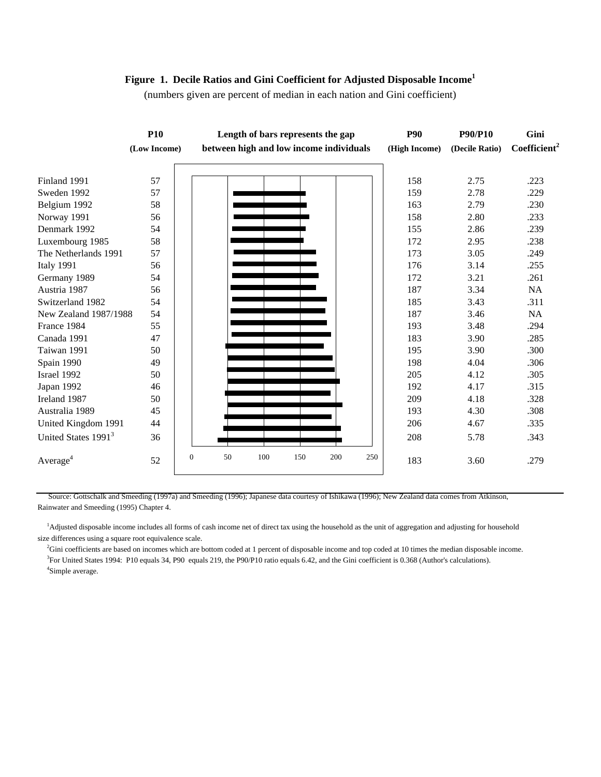#### **Figure 1. Decile Ratios and Gini Coefficient for Adjusted Disposable Income<sup>1</sup>**

(numbers given are percent of median in each nation and Gini coefficient)

|                                 | <b>P10</b>   | Length of bars represents the gap       |     |     |     |     | <b>P90</b>    | <b>P90/P10</b> | Gini                     |
|---------------------------------|--------------|-----------------------------------------|-----|-----|-----|-----|---------------|----------------|--------------------------|
|                                 | (Low Income) | between high and low income individuals |     |     |     |     | (High Income) | (Decile Ratio) | Coefficient <sup>2</sup> |
|                                 |              |                                         |     |     |     |     |               |                |                          |
| Finland 1991                    | 57           |                                         |     |     |     |     | 158           | 2.75           | .223                     |
| Sweden 1992                     | 57           |                                         |     |     |     |     | 159           | 2.78           | .229                     |
| Belgium 1992                    | 58           |                                         |     |     |     |     | 163           | 2.79           | .230                     |
| Norway 1991                     | 56           |                                         |     |     |     |     | 158           | 2.80           | .233                     |
| Denmark 1992                    | 54           |                                         |     |     |     |     | 155           | 2.86           | .239                     |
| Luxembourg 1985                 | 58           |                                         |     |     |     |     | 172           | 2.95           | .238                     |
| The Netherlands 1991            | 57           |                                         |     |     |     |     | 173           | 3.05           | .249                     |
| Italy 1991                      | 56           |                                         |     |     |     |     | 176           | 3.14           | .255                     |
| Germany 1989                    | 54           |                                         |     |     |     |     | 172           | 3.21           | .261                     |
| Austria 1987                    | 56           |                                         |     |     |     |     | 187           | 3.34           | NA                       |
| Switzerland 1982                | 54           |                                         |     |     |     |     | 185           | 3.43           | .311                     |
| New Zealand 1987/1988           | 54           |                                         |     |     |     |     | 187           | 3.46           | NA                       |
| France 1984                     | 55           |                                         |     |     |     |     | 193           | 3.48           | .294                     |
| Canada 1991                     | 47           |                                         |     |     |     |     | 183           | 3.90           | .285                     |
| Taiwan 1991                     | 50           |                                         |     |     |     |     | 195           | 3.90           | .300                     |
| Spain 1990                      | 49           |                                         |     |     |     |     | 198           | 4.04           | .306                     |
| Israel 1992                     | 50           |                                         |     |     |     |     | 205           | 4.12           | .305                     |
| Japan 1992                      | 46           |                                         |     |     |     |     | 192           | 4.17           | .315                     |
| Ireland 1987                    | 50           |                                         |     |     |     |     | 209           | 4.18           | .328                     |
| Australia 1989                  | 45           |                                         |     |     |     |     | 193           | 4.30           | .308                     |
| United Kingdom 1991             | 44           |                                         |     |     |     |     | 206           | 4.67           | .335                     |
| United States 1991 <sup>3</sup> | 36           |                                         |     |     |     |     | 208           | 5.78           | .343                     |
| Average <sup>4</sup>            | 52           | 50<br>$\mathbf{0}$                      | 100 | 150 | 200 | 250 | 183           | 3.60           | .279                     |

Source: Gottschalk and Smeeding (1997a) and Smeeding (1996); Japanese data courtesy of Ishikawa (1996); New Zealand data comes from Atkinson, Rainwater and Smeeding (1995) Chapter 4.

<sup>1</sup>Adjusted disposable income includes all forms of cash income net of direct tax using the household as the unit of aggregation and adjusting for household size differences using a square root equivalence scale.

<sup>2</sup>Gini coefficients are based on incomes which are bottom coded at 1 percent of disposable income and top coded at 10 times the median disposable income. <sup>3</sup>For United States 1994: P10 equals 34, P90 equals 219, the P90/P10 ratio equals 6.42, and the Gini coefficient is 0.368 (Author's calculations). 4 Simple average.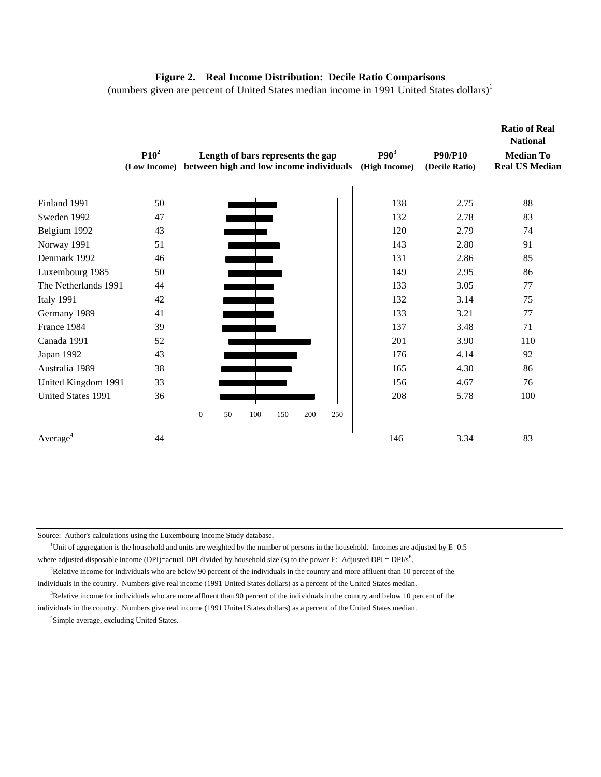#### **Figure 2. Real Income Distribution: Decile Ratio Comparisons**

(numbers given are percent of United States median income in 1991 United States dollars)<sup>1</sup>

|                      | $P10^2$<br>(Low Income) | Length of bars represents the gap<br>between high and low income individuals |     |     |     |     | $P90^3$<br>(High Income) | <b>P90/P10</b><br>(Decile Ratio) | <b>Ratio of Real</b><br><b>National</b><br><b>Median To</b><br><b>Real US Median</b> |  |
|----------------------|-------------------------|------------------------------------------------------------------------------|-----|-----|-----|-----|--------------------------|----------------------------------|--------------------------------------------------------------------------------------|--|
|                      |                         |                                                                              |     |     |     |     |                          |                                  |                                                                                      |  |
| Finland 1991         | 50                      |                                                                              |     |     |     |     | 138                      | 2.75                             | 88                                                                                   |  |
| Sweden 1992          | 47                      |                                                                              |     |     |     |     | 132                      | 2.78                             | 83                                                                                   |  |
| Belgium 1992         | 43                      |                                                                              |     |     |     |     | 120                      | 2.79                             | 74                                                                                   |  |
| Norway 1991          | 51                      |                                                                              |     |     |     |     | 143                      | 2.80                             | 91                                                                                   |  |
| Denmark 1992         | 46                      |                                                                              |     |     |     |     | 131                      | 2.86                             | 85                                                                                   |  |
| Luxembourg 1985      | 50                      |                                                                              |     |     |     |     | 149                      | 2.95                             | 86                                                                                   |  |
| The Netherlands 1991 | 44                      |                                                                              |     |     |     |     | 133                      | 3.05                             | 77                                                                                   |  |
| Italy 1991           | 42                      |                                                                              |     |     |     |     | 132                      | 3.14                             | 75                                                                                   |  |
| Germany 1989         | 41                      |                                                                              |     |     |     |     | 133                      | 3.21                             | 77                                                                                   |  |
| France 1984          | 39                      |                                                                              |     |     |     |     | 137                      | 3.48                             | 71                                                                                   |  |
| Canada 1991          | 52                      |                                                                              |     |     |     |     | 201                      | 3.90                             | 110                                                                                  |  |
| Japan 1992           | 43                      |                                                                              |     |     |     |     | 176                      | 4.14                             | 92                                                                                   |  |
| Australia 1989       | 38                      |                                                                              |     |     |     |     | 165                      | 4.30                             | 86                                                                                   |  |
| United Kingdom 1991  | 33                      |                                                                              |     |     |     |     | 156                      | 4.67                             | 76                                                                                   |  |
| United States 1991   | 36                      |                                                                              |     |     |     |     | 208                      | 5.78                             | 100                                                                                  |  |
|                      |                         | 50<br>$\mathbf{0}$                                                           | 100 | 150 | 200 | 250 |                          |                                  |                                                                                      |  |
| Average <sup>4</sup> | 44                      |                                                                              |     |     |     |     | 146                      | 3.34                             | 83                                                                                   |  |

Source: Author's calculations using the Luxembourg Income Study database.

<sup>1</sup>Unit of aggregation is the household and units are weighted by the number of persons in the household. Incomes are adjusted by  $E=0.5$ where adjusted disposable income (DPI)=actual DPI divided by household size (s) to the power E: Adjusted DPI =  $DPIs^E$ .

<sup>2</sup>Relative income for individuals who are below 90 percent of the individuals in the country and more affluent than 10 percent of the individuals in the country. Numbers give real income (1991 United States dollars) as a percent of the United States median.

 $3R$ elative income for individuals who are more affluent than 90 percent of the individuals in the country and below 10 percent of the

individuals in the country. Numbers give real income (1991 United States dollars) as a percent of the United States median.

<sup>4</sup>Simple average, excluding United States.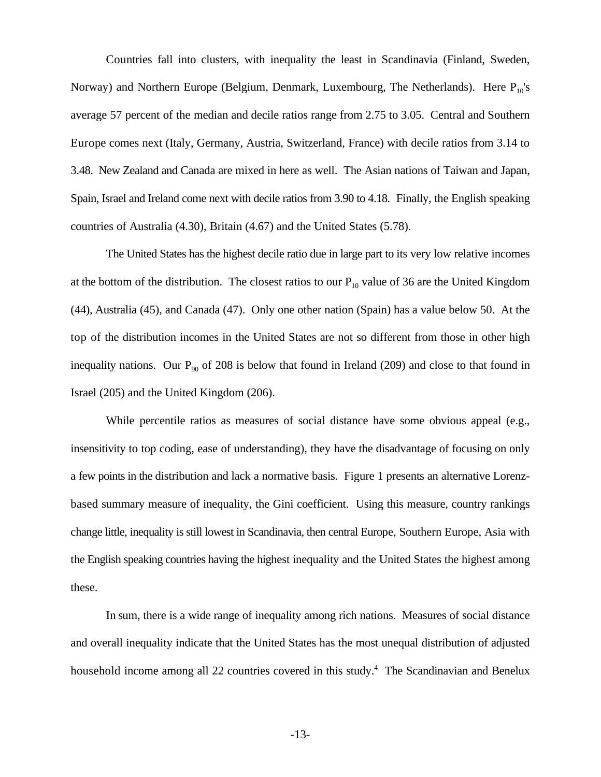Countries fall into clusters, with inequality the least in Scandinavia (Finland, Sweden, Norway) and Northern Europe (Belgium, Denmark, Luxembourg, The Netherlands). Here  $P_{10}$ 's average 57 percent of the median and decile ratios range from 2.75 to 3.05. Central and Southern Europe comes next (Italy, Germany, Austria, Switzerland, France) with decile ratios from 3.14 to 3.48. New Zealand and Canada are mixed in here as well. The Asian nations of Taiwan and Japan, Spain, Israel and Ireland come next with decile ratios from 3.90 to 4.18. Finally, the English speaking countries of Australia (4.30), Britain (4.67) and the United States (5.78).

The United States has the highest decile ratio due in large part to its very low relative incomes at the bottom of the distribution. The closest ratios to our  $P_{10}$  value of 36 are the United Kingdom (44), Australia (45), and Canada (47). Only one other nation (Spain) has a value below 50. At the top of the distribution incomes in the United States are not so different from those in other high inequality nations. Our  $P_{90}$  of 208 is below that found in Ireland (209) and close to that found in Israel (205) and the United Kingdom (206).

While percentile ratios as measures of social distance have some obvious appeal (e.g., insensitivity to top coding, ease of understanding), they have the disadvantage of focusing on only a few points in the distribution and lack a normative basis. Figure 1 presents an alternative Lorenzbased summary measure of inequality, the Gini coefficient. Using this measure, country rankings change little, inequality is still lowest in Scandinavia, then central Europe, Southern Europe, Asia with the English speaking countries having the highest inequality and the United States the highest among these.

In sum, there is a wide range of inequality among rich nations. Measures of social distance and overall inequality indicate that the United States has the most unequal distribution of adjusted household income among all 22 countries covered in this study.<sup>4</sup> The Scandinavian and Benelux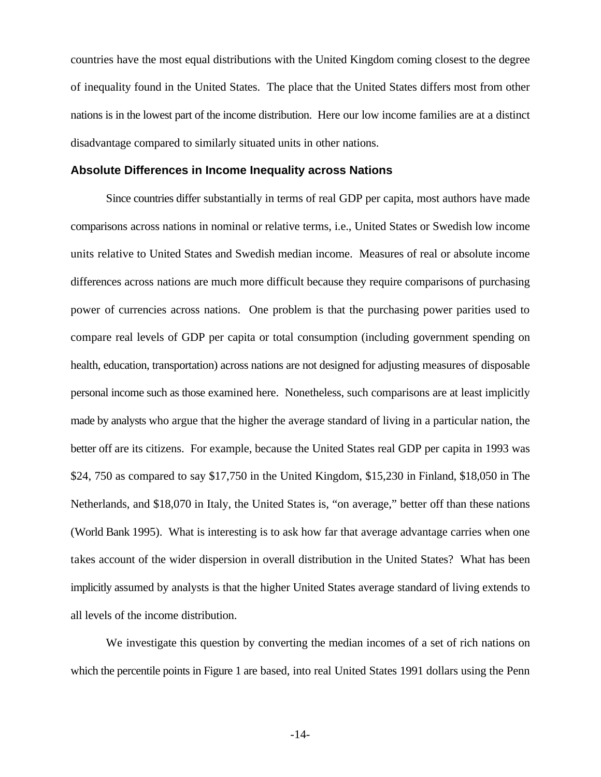countries have the most equal distributions with the United Kingdom coming closest to the degree of inequality found in the United States. The place that the United States differs most from other nations is in the lowest part of the income distribution. Here our low income families are at a distinct disadvantage compared to similarly situated units in other nations.

#### **Absolute Differences in Income Inequality across Nations**

Since countries differ substantially in terms of real GDP per capita, most authors have made comparisons across nations in nominal or relative terms, i.e., United States or Swedish low income units relative to United States and Swedish median income. Measures of real or absolute income differences across nations are much more difficult because they require comparisons of purchasing power of currencies across nations. One problem is that the purchasing power parities used to compare real levels of GDP per capita or total consumption (including government spending on health, education, transportation) across nations are not designed for adjusting measures of disposable personal income such as those examined here. Nonetheless, such comparisons are at least implicitly made by analysts who argue that the higher the average standard of living in a particular nation, the better off are its citizens. For example, because the United States real GDP per capita in 1993 was \$24, 750 as compared to say \$17,750 in the United Kingdom, \$15,230 in Finland, \$18,050 in The Netherlands, and \$18,070 in Italy, the United States is, "on average," better off than these nations (World Bank 1995). What is interesting is to ask how far that average advantage carries when one takes account of the wider dispersion in overall distribution in the United States? What has been implicitly assumed by analysts is that the higher United States average standard of living extends to all levels of the income distribution.

We investigate this question by converting the median incomes of a set of rich nations on which the percentile points in Figure 1 are based, into real United States 1991 dollars using the Penn

-14-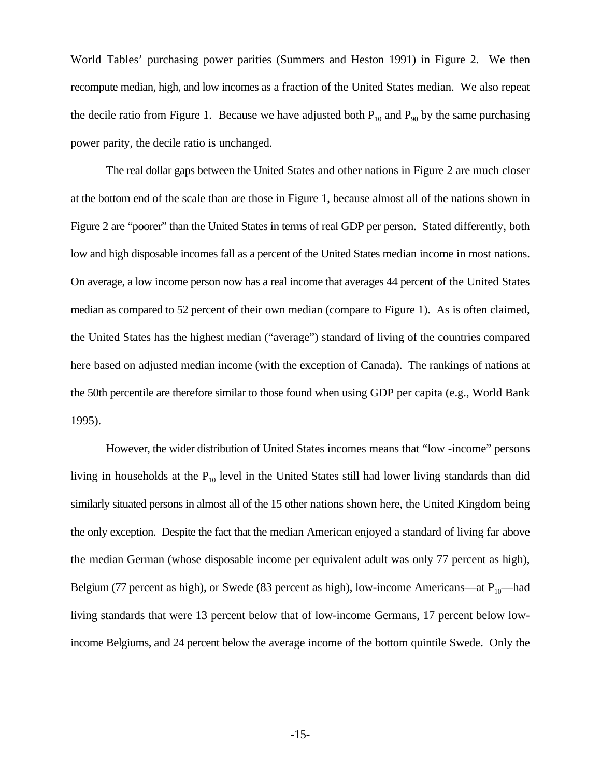World Tables' purchasing power parities (Summers and Heston 1991) in Figure 2. We then recompute median, high, and low incomes as a fraction of the United States median. We also repeat the decile ratio from Figure 1. Because we have adjusted both  $P_{10}$  and  $P_{90}$  by the same purchasing power parity, the decile ratio is unchanged.

The real dollar gaps between the United States and other nations in Figure 2 are much closer at the bottom end of the scale than are those in Figure 1, because almost all of the nations shown in Figure 2 are "poorer" than the United States in terms of real GDP per person. Stated differently, both low and high disposable incomes fall as a percent of the United States median income in most nations. On average, a low income person now has a real income that averages 44 percent of the United States median as compared to 52 percent of their own median (compare to Figure 1). As is often claimed, the United States has the highest median ("average") standard of living of the countries compared here based on adjusted median income (with the exception of Canada). The rankings of nations at the 50th percentile are therefore similar to those found when using GDP per capita (e.g., World Bank 1995).

However, the wider distribution of United States incomes means that "low -income" persons living in households at the  $P_{10}$  level in the United States still had lower living standards than did similarly situated persons in almost all of the 15 other nations shown here, the United Kingdom being the only exception. Despite the fact that the median American enjoyed a standard of living far above the median German (whose disposable income per equivalent adult was only 77 percent as high), Belgium (77 percent as high), or Swede (83 percent as high), low-income Americans—at  $P_{10}$ —had living standards that were 13 percent below that of low-income Germans, 17 percent below lowincome Belgiums, and 24 percent below the average income of the bottom quintile Swede. Only the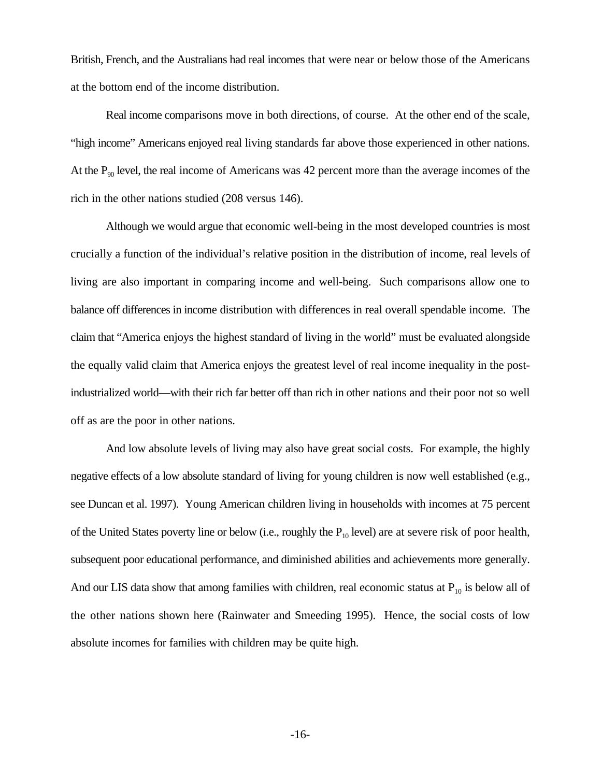British, French, and the Australians had real incomes that were near or below those of the Americans at the bottom end of the income distribution.

Real income comparisons move in both directions, of course. At the other end of the scale, "high income" Americans enjoyed real living standards far above those experienced in other nations. At the  $P_{90}$  level, the real income of Americans was 42 percent more than the average incomes of the rich in the other nations studied (208 versus 146).

Although we would argue that economic well-being in the most developed countries is most crucially a function of the individual's relative position in the distribution of income, real levels of living are also important in comparing income and well-being. Such comparisons allow one to balance off differences in income distribution with differences in real overall spendable income. The claim that "America enjoys the highest standard of living in the world" must be evaluated alongside the equally valid claim that America enjoys the greatest level of real income inequality in the postindustrialized world—with their rich far better off than rich in other nations and their poor not so well off as are the poor in other nations.

And low absolute levels of living may also have great social costs. For example, the highly negative effects of a low absolute standard of living for young children is now well established (e.g., see Duncan et al. 1997). Young American children living in households with incomes at 75 percent of the United States poverty line or below (i.e., roughly the  $P_{10}$  level) are at severe risk of poor health, subsequent poor educational performance, and diminished abilities and achievements more generally. And our LIS data show that among families with children, real economic status at  $P_{10}$  is below all of the other nations shown here (Rainwater and Smeeding 1995). Hence, the social costs of low absolute incomes for families with children may be quite high.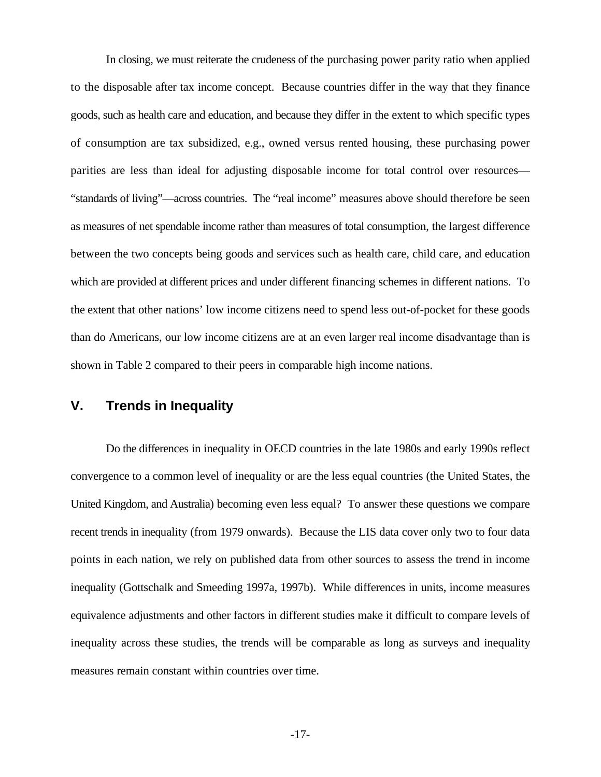In closing, we must reiterate the crudeness of the purchasing power parity ratio when applied to the disposable after tax income concept. Because countries differ in the way that they finance goods, such as health care and education, and because they differ in the extent to which specific types of consumption are tax subsidized, e.g., owned versus rented housing, these purchasing power parities are less than ideal for adjusting disposable income for total control over resources— "standards of living"—across countries. The "real income" measures above should therefore be seen as measures of net spendable income rather than measures of total consumption, the largest difference between the two concepts being goods and services such as health care, child care, and education which are provided at different prices and under different financing schemes in different nations. To the extent that other nations' low income citizens need to spend less out-of-pocket for these goods than do Americans, our low income citizens are at an even larger real income disadvantage than is shown in Table 2 compared to their peers in comparable high income nations.

# **V. Trends in Inequality**

Do the differences in inequality in OECD countries in the late 1980s and early 1990s reflect convergence to a common level of inequality or are the less equal countries (the United States, the United Kingdom, and Australia) becoming even less equal? To answer these questions we compare recent trends in inequality (from 1979 onwards). Because the LIS data cover only two to four data points in each nation, we rely on published data from other sources to assess the trend in income inequality (Gottschalk and Smeeding 1997a, 1997b). While differences in units, income measures equivalence adjustments and other factors in different studies make it difficult to compare levels of inequality across these studies, the trends will be comparable as long as surveys and inequality measures remain constant within countries over time.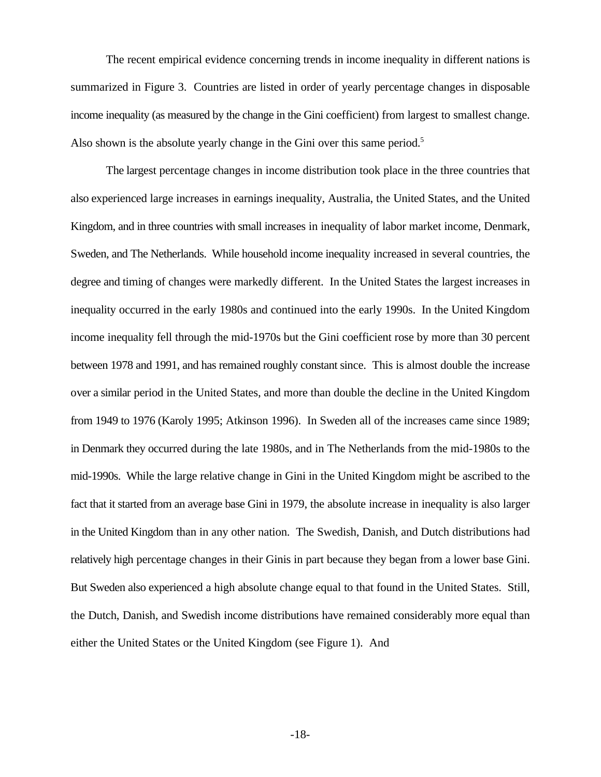The recent empirical evidence concerning trends in income inequality in different nations is summarized in Figure 3. Countries are listed in order of yearly percentage changes in disposable income inequality (as measured by the change in the Gini coefficient) from largest to smallest change. Also shown is the absolute yearly change in the Gini over this same period.<sup>5</sup>

The largest percentage changes in income distribution took place in the three countries that also experienced large increases in earnings inequality, Australia, the United States, and the United Kingdom, and in three countries with small increases in inequality of labor market income, Denmark, Sweden, and The Netherlands. While household income inequality increased in several countries, the degree and timing of changes were markedly different. In the United States the largest increases in inequality occurred in the early 1980s and continued into the early 1990s. In the United Kingdom income inequality fell through the mid-1970s but the Gini coefficient rose by more than 30 percent between 1978 and 1991, and has remained roughly constant since. This is almost double the increase over a similar period in the United States, and more than double the decline in the United Kingdom from 1949 to 1976 (Karoly 1995; Atkinson 1996). In Sweden all of the increases came since 1989; in Denmark they occurred during the late 1980s, and in The Netherlands from the mid-1980s to the mid-1990s. While the large relative change in Gini in the United Kingdom might be ascribed to the fact that it started from an average base Gini in 1979, the absolute increase in inequality is also larger in the United Kingdom than in any other nation. The Swedish, Danish, and Dutch distributions had relatively high percentage changes in their Ginis in part because they began from a lower base Gini. But Sweden also experienced a high absolute change equal to that found in the United States. Still, the Dutch, Danish, and Swedish income distributions have remained considerably more equal than either the United States or the United Kingdom (see Figure 1). And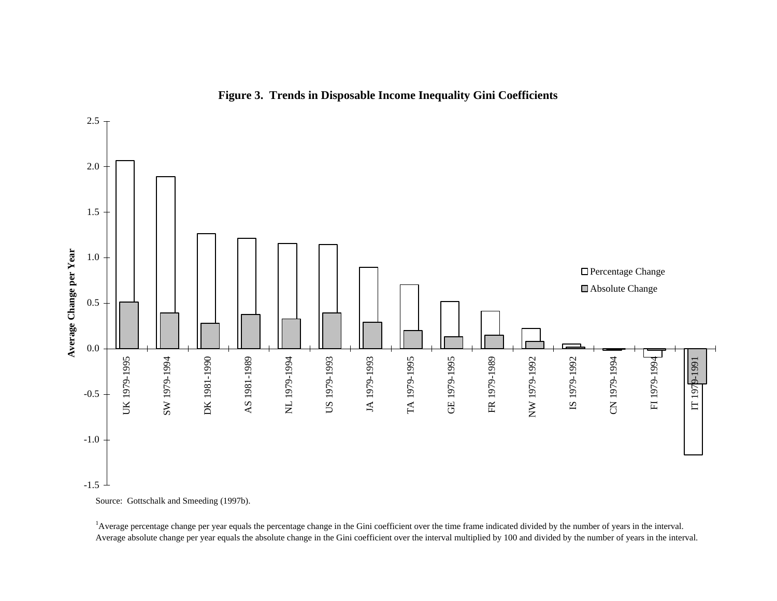

**Figure 3. Trends in Disposable Income Inequality Gini Coefficients**

Source: Gottschalk and Smeeding (1997b).

<sup>1</sup>Average percentage change per year equals the percentage change in the Gini coefficient over the time frame indicated divided by the number of years in the interval. Average absolute change per year equals the absolute change in the Gini coefficient over the interval multiplied by 100 and divided by the number of years in the interval.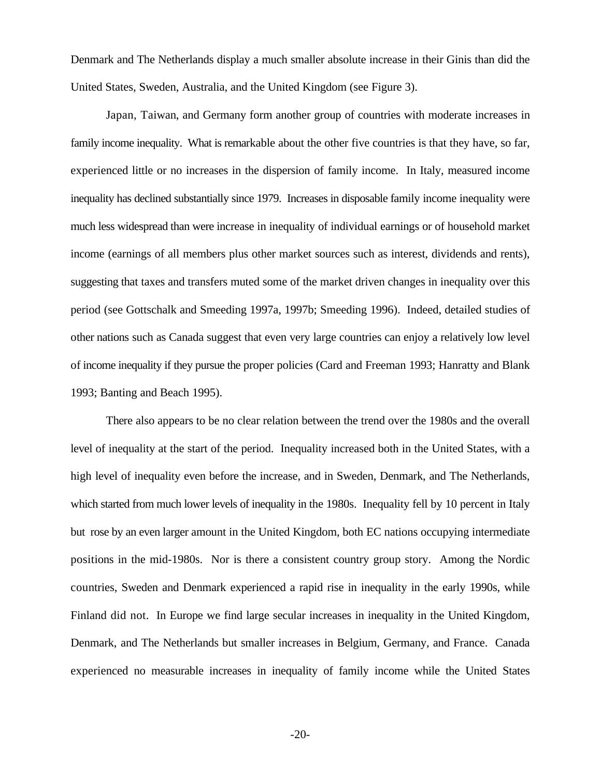Denmark and The Netherlands display a much smaller absolute increase in their Ginis than did the United States, Sweden, Australia, and the United Kingdom (see Figure 3).

Japan, Taiwan, and Germany form another group of countries with moderate increases in family income inequality. What is remarkable about the other five countries is that they have, so far, experienced little or no increases in the dispersion of family income. In Italy, measured income inequality has declined substantially since 1979. Increases in disposable family income inequality were much less widespread than were increase in inequality of individual earnings or of household market income (earnings of all members plus other market sources such as interest, dividends and rents), suggesting that taxes and transfers muted some of the market driven changes in inequality over this period (see Gottschalk and Smeeding 1997a, 1997b; Smeeding 1996). Indeed, detailed studies of other nations such as Canada suggest that even very large countries can enjoy a relatively low level of income inequality if they pursue the proper policies (Card and Freeman 1993; Hanratty and Blank 1993; Banting and Beach 1995).

There also appears to be no clear relation between the trend over the 1980s and the overall level of inequality at the start of the period. Inequality increased both in the United States, with a high level of inequality even before the increase, and in Sweden, Denmark, and The Netherlands, which started from much lower levels of inequality in the 1980s. Inequality fell by 10 percent in Italy but rose by an even larger amount in the United Kingdom, both EC nations occupying intermediate positions in the mid-1980s. Nor is there a consistent country group story. Among the Nordic countries, Sweden and Denmark experienced a rapid rise in inequality in the early 1990s, while Finland did not. In Europe we find large secular increases in inequality in the United Kingdom, Denmark, and The Netherlands but smaller increases in Belgium, Germany, and France. Canada experienced no measurable increases in inequality of family income while the United States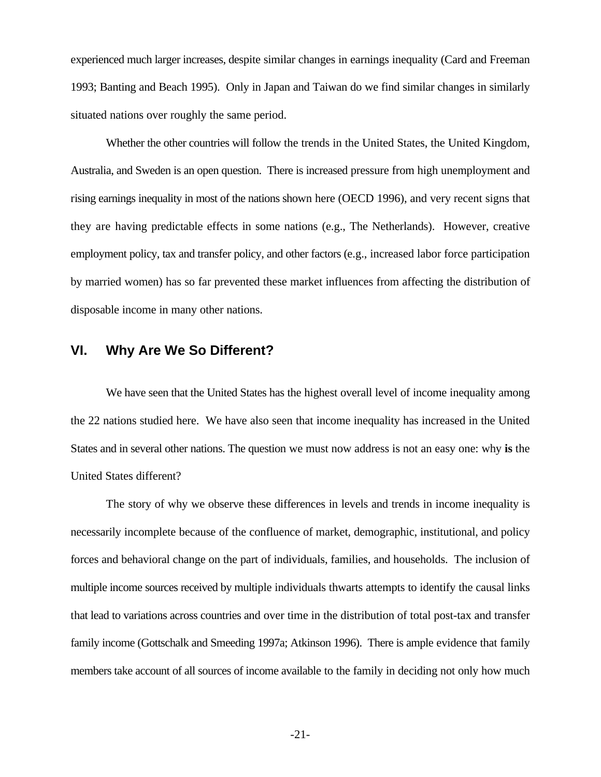experienced much larger increases, despite similar changes in earnings inequality (Card and Freeman 1993; Banting and Beach 1995). Only in Japan and Taiwan do we find similar changes in similarly situated nations over roughly the same period.

Whether the other countries will follow the trends in the United States, the United Kingdom, Australia, and Sweden is an open question. There is increased pressure from high unemployment and rising earnings inequality in most of the nations shown here (OECD 1996), and very recent signs that they are having predictable effects in some nations (e.g., The Netherlands). However, creative employment policy, tax and transfer policy, and other factors (e.g., increased labor force participation by married women) has so far prevented these market influences from affecting the distribution of disposable income in many other nations.

# **VI. Why Are We So Different?**

We have seen that the United States has the highest overall level of income inequality among the 22 nations studied here. We have also seen that income inequality has increased in the United States and in several other nations. The question we must now address is not an easy one: why **is** the United States different?

The story of why we observe these differences in levels and trends in income inequality is necessarily incomplete because of the confluence of market, demographic, institutional, and policy forces and behavioral change on the part of individuals, families, and households. The inclusion of multiple income sources received by multiple individuals thwarts attempts to identify the causal links that lead to variations across countries and over time in the distribution of total post-tax and transfer family income (Gottschalk and Smeeding 1997a; Atkinson 1996). There is ample evidence that family members take account of all sources of income available to the family in deciding not only how much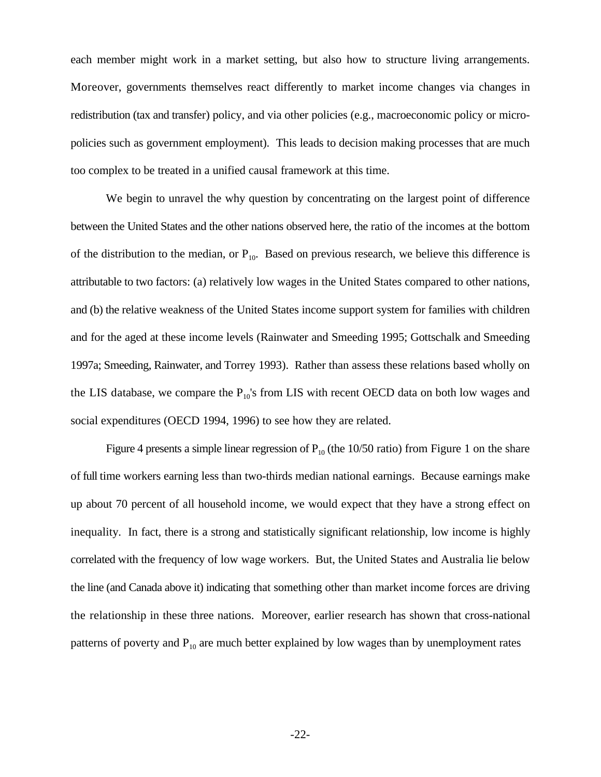each member might work in a market setting, but also how to structure living arrangements. Moreover, governments themselves react differently to market income changes via changes in redistribution (tax and transfer) policy, and via other policies (e.g., macroeconomic policy or micropolicies such as government employment). This leads to decision making processes that are much too complex to be treated in a unified causal framework at this time.

We begin to unravel the why question by concentrating on the largest point of difference between the United States and the other nations observed here, the ratio of the incomes at the bottom of the distribution to the median, or  $P_{10}$ . Based on previous research, we believe this difference is attributable to two factors: (a) relatively low wages in the United States compared to other nations, and (b) the relative weakness of the United States income support system for families with children and for the aged at these income levels (Rainwater and Smeeding 1995; Gottschalk and Smeeding 1997a; Smeeding, Rainwater, and Torrey 1993). Rather than assess these relations based wholly on the LIS database, we compare the  $P_{10}$ 's from LIS with recent OECD data on both low wages and social expenditures (OECD 1994, 1996) to see how they are related.

Figure 4 presents a simple linear regression of  $P_{10}$  (the 10/50 ratio) from Figure 1 on the share of full time workers earning less than two-thirds median national earnings. Because earnings make up about 70 percent of all household income, we would expect that they have a strong effect on inequality. In fact, there is a strong and statistically significant relationship, low income is highly correlated with the frequency of low wage workers. But, the United States and Australia lie below the line (and Canada above it) indicating that something other than market income forces are driving the relationship in these three nations. Moreover, earlier research has shown that cross-national patterns of poverty and  $P_{10}$  are much better explained by low wages than by unemployment rates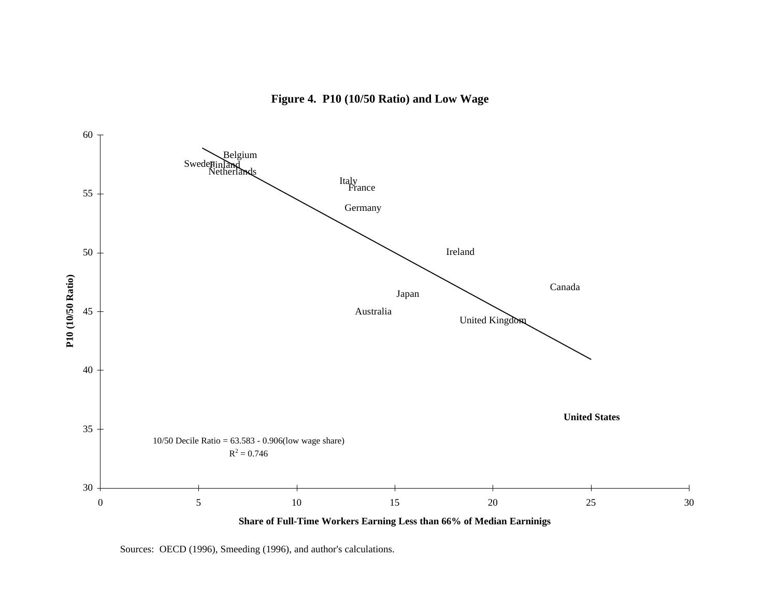#### **Figure 4. P10 (10/50 Ratio) and Low Wage**



Sources: OECD (1996), Smeeding (1996), and author's calculations.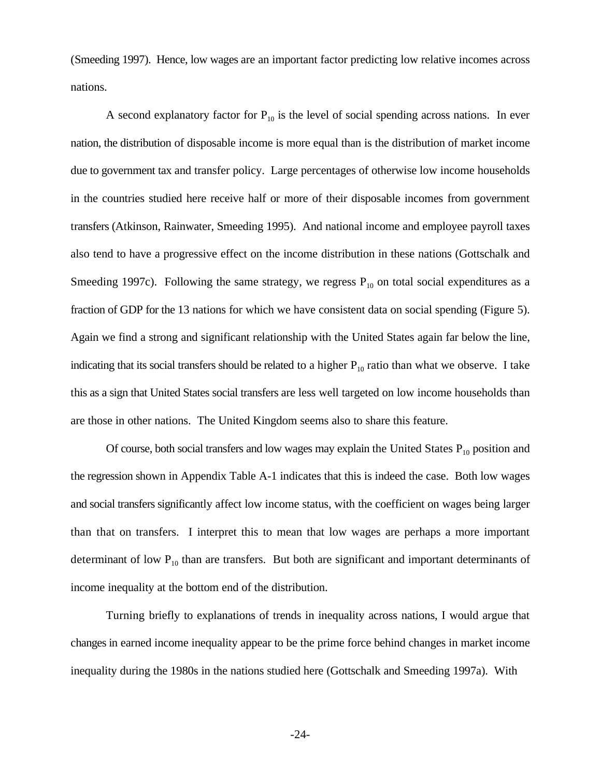(Smeeding 1997). Hence, low wages are an important factor predicting low relative incomes across nations.

A second explanatory factor for  $P_{10}$  is the level of social spending across nations. In ever nation, the distribution of disposable income is more equal than is the distribution of market income due to government tax and transfer policy. Large percentages of otherwise low income households in the countries studied here receive half or more of their disposable incomes from government transfers (Atkinson, Rainwater, Smeeding 1995). And national income and employee payroll taxes also tend to have a progressive effect on the income distribution in these nations (Gottschalk and Smeeding 1997c). Following the same strategy, we regress  $P_{10}$  on total social expenditures as a fraction of GDP for the 13 nations for which we have consistent data on social spending (Figure 5). Again we find a strong and significant relationship with the United States again far below the line, indicating that its social transfers should be related to a higher  $P_{10}$  ratio than what we observe. I take this as a sign that United States social transfers are less well targeted on low income households than are those in other nations. The United Kingdom seems also to share this feature.

Of course, both social transfers and low wages may explain the United States  $P_{10}$  position and the regression shown in Appendix Table A-1 indicates that this is indeed the case. Both low wages and social transfers significantly affect low income status, with the coefficient on wages being larger than that on transfers. I interpret this to mean that low wages are perhaps a more important determinant of low  $P_{10}$  than are transfers. But both are significant and important determinants of income inequality at the bottom end of the distribution.

Turning briefly to explanations of trends in inequality across nations, I would argue that changes in earned income inequality appear to be the prime force behind changes in market income inequality during the 1980s in the nations studied here (Gottschalk and Smeeding 1997a). With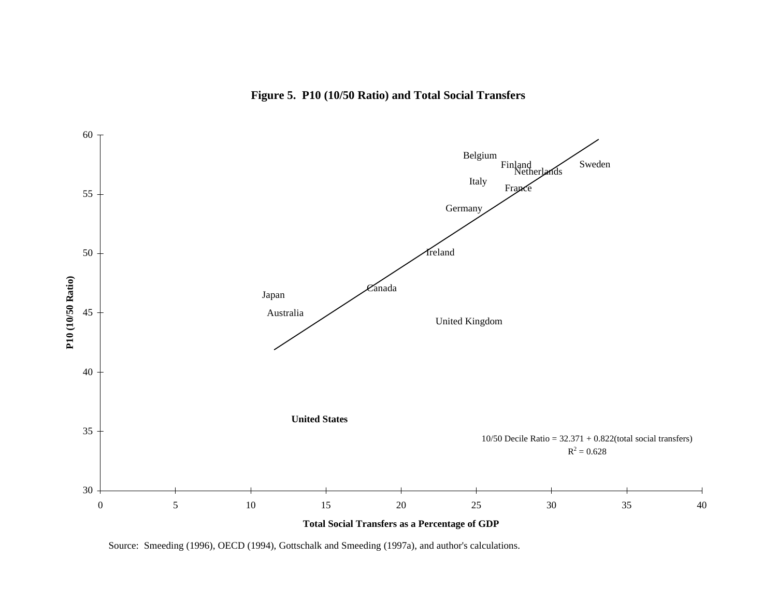**Figure 5. P10 (10/50 Ratio) and Total Social Transfers**



Source: Smeeding (1996), OECD (1994), Gottschalk and Smeeding (1997a), and author's calculations.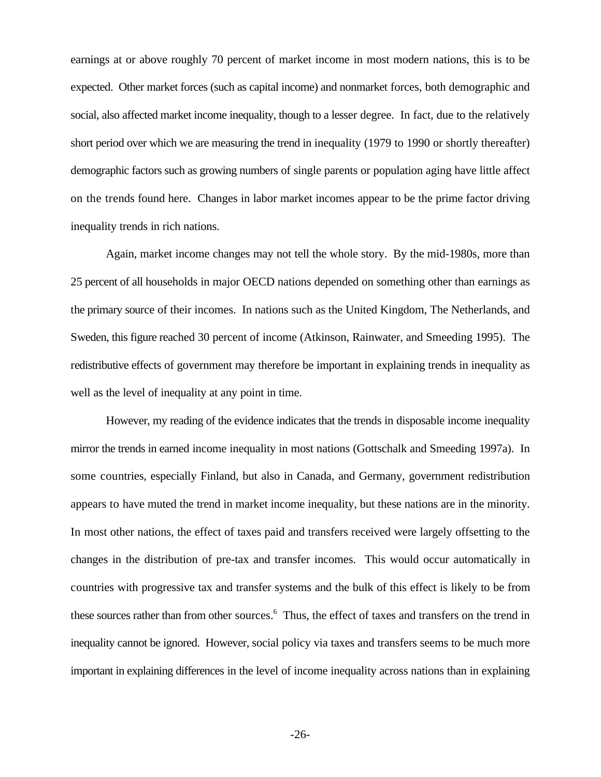earnings at or above roughly 70 percent of market income in most modern nations, this is to be expected. Other market forces (such as capital income) and nonmarket forces, both demographic and social, also affected market income inequality, though to a lesser degree. In fact, due to the relatively short period over which we are measuring the trend in inequality (1979 to 1990 or shortly thereafter) demographic factors such as growing numbers of single parents or population aging have little affect on the trends found here. Changes in labor market incomes appear to be the prime factor driving inequality trends in rich nations.

Again, market income changes may not tell the whole story. By the mid-1980s, more than 25 percent of all households in major OECD nations depended on something other than earnings as the primary source of their incomes. In nations such as the United Kingdom, The Netherlands, and Sweden, this figure reached 30 percent of income (Atkinson, Rainwater, and Smeeding 1995). The redistributive effects of government may therefore be important in explaining trends in inequality as well as the level of inequality at any point in time.

However, my reading of the evidence indicates that the trends in disposable income inequality mirror the trends in earned income inequality in most nations (Gottschalk and Smeeding 1997a). In some countries, especially Finland, but also in Canada, and Germany, government redistribution appears to have muted the trend in market income inequality, but these nations are in the minority. In most other nations, the effect of taxes paid and transfers received were largely offsetting to the changes in the distribution of pre-tax and transfer incomes. This would occur automatically in countries with progressive tax and transfer systems and the bulk of this effect is likely to be from these sources rather than from other sources.<sup>6</sup> Thus, the effect of taxes and transfers on the trend in inequality cannot be ignored. However, social policy via taxes and transfers seems to be much more important in explaining differences in the level of income inequality across nations than in explaining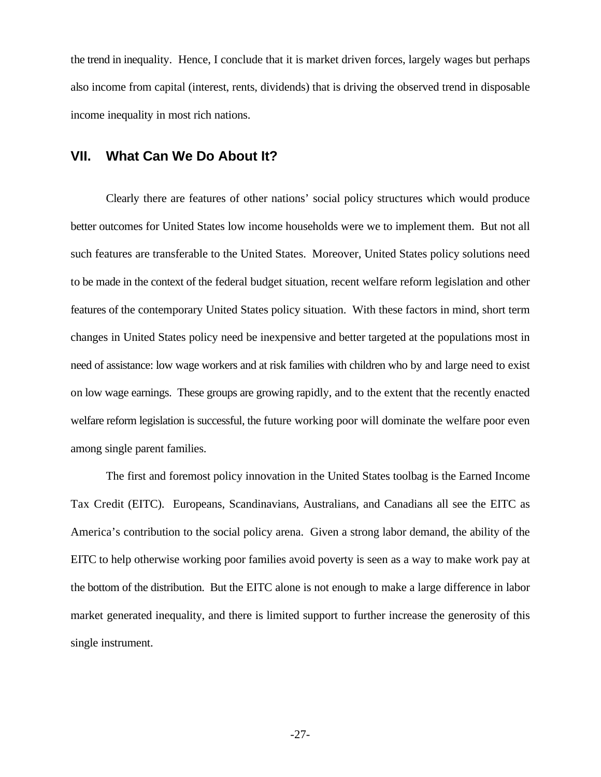the trend in inequality. Hence, I conclude that it is market driven forces, largely wages but perhaps also income from capital (interest, rents, dividends) that is driving the observed trend in disposable income inequality in most rich nations.

# **VII. What Can We Do About It?**

Clearly there are features of other nations' social policy structures which would produce better outcomes for United States low income households were we to implement them. But not all such features are transferable to the United States. Moreover, United States policy solutions need to be made in the context of the federal budget situation, recent welfare reform legislation and other features of the contemporary United States policy situation. With these factors in mind, short term changes in United States policy need be inexpensive and better targeted at the populations most in need of assistance: low wage workers and at risk families with children who by and large need to exist on low wage earnings. These groups are growing rapidly, and to the extent that the recently enacted welfare reform legislation is successful, the future working poor will dominate the welfare poor even among single parent families.

The first and foremost policy innovation in the United States toolbag is the Earned Income Tax Credit (EITC). Europeans, Scandinavians, Australians, and Canadians all see the EITC as America's contribution to the social policy arena. Given a strong labor demand, the ability of the EITC to help otherwise working poor families avoid poverty is seen as a way to make work pay at the bottom of the distribution. But the EITC alone is not enough to make a large difference in labor market generated inequality, and there is limited support to further increase the generosity of this single instrument.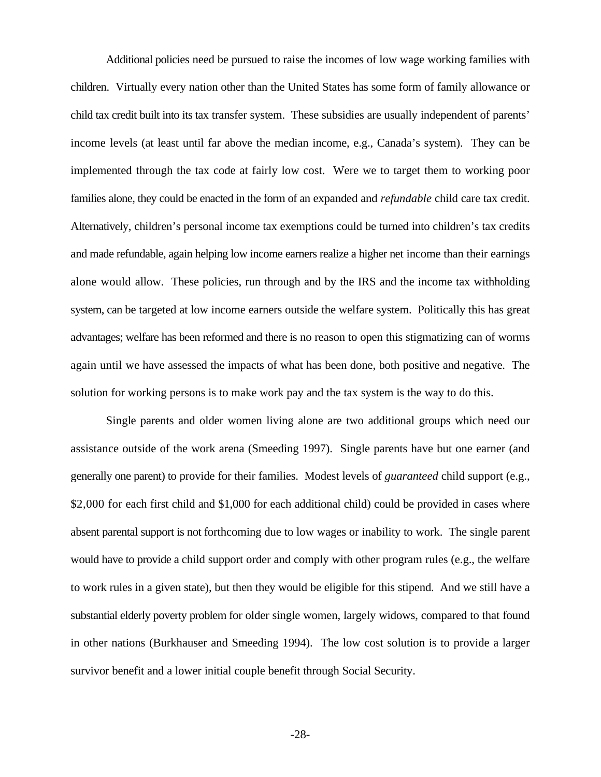Additional policies need be pursued to raise the incomes of low wage working families with children. Virtually every nation other than the United States has some form of family allowance or child tax credit built into its tax transfer system. These subsidies are usually independent of parents' income levels (at least until far above the median income, e.g., Canada's system). They can be implemented through the tax code at fairly low cost. Were we to target them to working poor families alone, they could be enacted in the form of an expanded and *refundable* child care tax credit. Alternatively, children's personal income tax exemptions could be turned into children's tax credits and made refundable, again helping low income earners realize a higher net income than their earnings alone would allow. These policies, run through and by the IRS and the income tax withholding system, can be targeted at low income earners outside the welfare system. Politically this has great advantages; welfare has been reformed and there is no reason to open this stigmatizing can of worms again until we have assessed the impacts of what has been done, both positive and negative. The solution for working persons is to make work pay and the tax system is the way to do this.

Single parents and older women living alone are two additional groups which need our assistance outside of the work arena (Smeeding 1997). Single parents have but one earner (and generally one parent) to provide for their families. Modest levels of *guaranteed* child support (e.g., \$2,000 for each first child and \$1,000 for each additional child) could be provided in cases where absent parental support is not forthcoming due to low wages or inability to work. The single parent would have to provide a child support order and comply with other program rules (e.g., the welfare to work rules in a given state), but then they would be eligible for this stipend. And we still have a substantial elderly poverty problem for older single women, largely widows, compared to that found in other nations (Burkhauser and Smeeding 1994). The low cost solution is to provide a larger survivor benefit and a lower initial couple benefit through Social Security.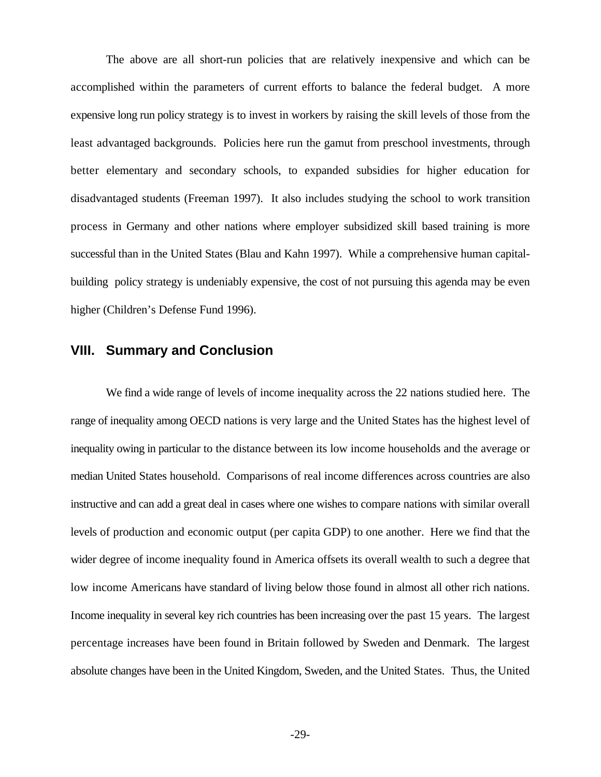The above are all short-run policies that are relatively inexpensive and which can be accomplished within the parameters of current efforts to balance the federal budget. A more expensive long run policy strategy is to invest in workers by raising the skill levels of those from the least advantaged backgrounds. Policies here run the gamut from preschool investments, through better elementary and secondary schools, to expanded subsidies for higher education for disadvantaged students (Freeman 1997). It also includes studying the school to work transition process in Germany and other nations where employer subsidized skill based training is more successful than in the United States (Blau and Kahn 1997). While a comprehensive human capitalbuilding policy strategy is undeniably expensive, the cost of not pursuing this agenda may be even higher (Children's Defense Fund 1996).

## **VIII. Summary and Conclusion**

We find a wide range of levels of income inequality across the 22 nations studied here. The range of inequality among OECD nations is very large and the United States has the highest level of inequality owing in particular to the distance between its low income households and the average or median United States household. Comparisons of real income differences across countries are also instructive and can add a great deal in cases where one wishes to compare nations with similar overall levels of production and economic output (per capita GDP) to one another. Here we find that the wider degree of income inequality found in America offsets its overall wealth to such a degree that low income Americans have standard of living below those found in almost all other rich nations. Income inequality in several key rich countries has been increasing over the past 15 years. The largest percentage increases have been found in Britain followed by Sweden and Denmark. The largest absolute changes have been in the United Kingdom, Sweden, and the United States. Thus, the United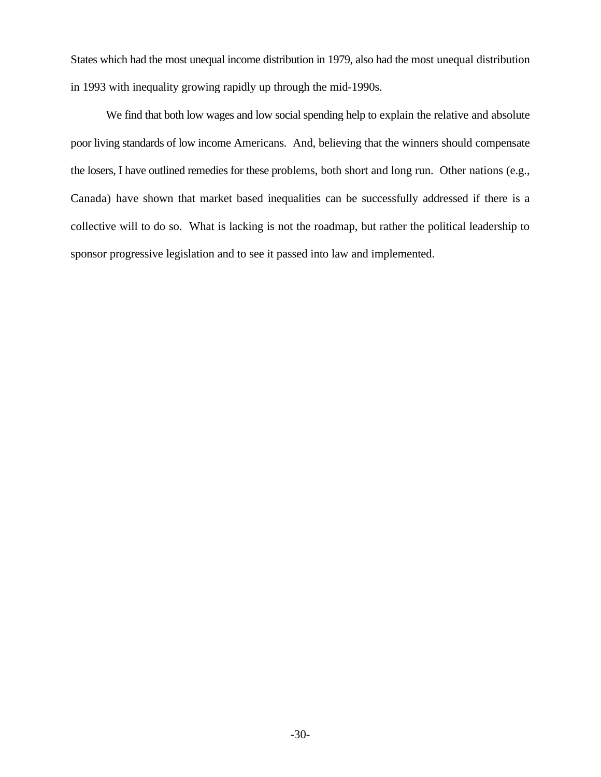States which had the most unequal income distribution in 1979, also had the most unequal distribution in 1993 with inequality growing rapidly up through the mid-1990s.

We find that both low wages and low social spending help to explain the relative and absolute poor living standards of low income Americans. And, believing that the winners should compensate the losers, I have outlined remedies for these problems, both short and long run. Other nations (e.g., Canada) have shown that market based inequalities can be successfully addressed if there is a collective will to do so. What is lacking is not the roadmap, but rather the political leadership to sponsor progressive legislation and to see it passed into law and implemented.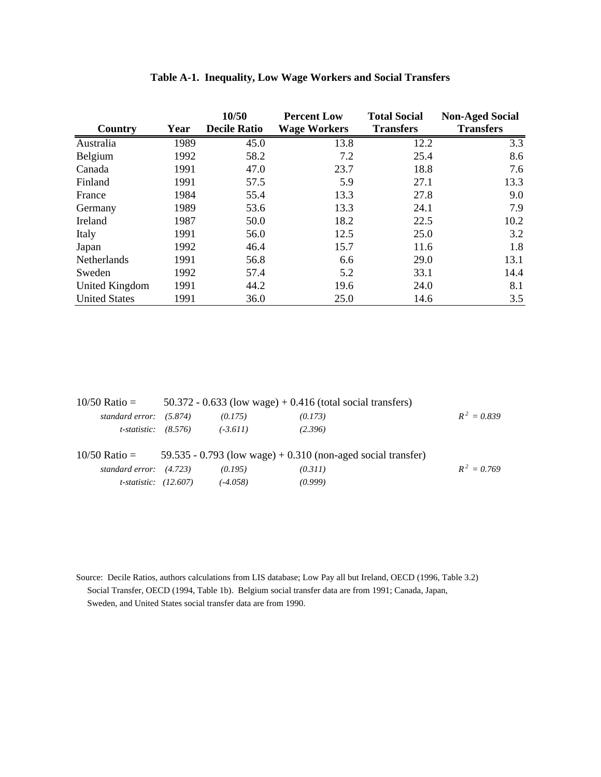|                      |      | 10/50               | <b>Percent Low</b>  | <b>Total Social</b> | <b>Non-Aged Social</b> |
|----------------------|------|---------------------|---------------------|---------------------|------------------------|
| Country              | Year | <b>Decile Ratio</b> | <b>Wage Workers</b> | <b>Transfers</b>    | <b>Transfers</b>       |
| Australia            | 1989 | 45.0                | 13.8                | 12.2                | 3.3                    |
| Belgium              | 1992 | 58.2                | 7.2                 | 25.4                | 8.6                    |
| Canada               | 1991 | 47.0                | 23.7                | 18.8                | 7.6                    |
| Finland              | 1991 | 57.5                | 5.9                 | 27.1                | 13.3                   |
| France               | 1984 | 55.4                | 13.3                | 27.8                | 9.0                    |
| Germany              | 1989 | 53.6                | 13.3                | 24.1                | 7.9                    |
| Ireland              | 1987 | 50.0                | 18.2                | 22.5                | 10.2                   |
| Italy                | 1991 | 56.0                | 12.5                | 25.0                | 3.2                    |
| Japan                | 1992 | 46.4                | 15.7                | 11.6                | 1.8                    |
| Netherlands          | 1991 | 56.8                | 6.6                 | 29.0                | 13.1                   |
| Sweden               | 1992 | 57.4                | 5.2                 | 33.1                | 14.4                   |
| United Kingdom       | 1991 | 44.2                | 19.6                | 24.0                | 8.1                    |
| <b>United States</b> | 1991 | 36.0                | 25.0                | 14.6                | 3.5                    |

### **Table A-1. Inequality, Low Wage Workers and Social Transfers**

| $10/50$ Ratio =            |            | $50.372 - 0.633$ (low wage) + 0.416 (total social transfers) |               |
|----------------------------|------------|--------------------------------------------------------------|---------------|
| standard error: $(5.874)$  | (0.175)    | (0.173)                                                      | $R^2 = 0.839$ |
| $t$ -statistic: $(8.576)$  | $(-3.611)$ | (2.396)                                                      |               |
|                            |            |                                                              |               |
| $10/50$ Ratio =            |            | 59.535 - 0.793 (low wage) + 0.310 (non-aged social transfer) |               |
| standard error: $(4.723)$  | (0.195)    | (0.311)                                                      | $R^2 = 0.769$ |
| $t$ -statistic: $(12.607)$ | $(-4.058)$ | (0.999)                                                      |               |

Source: Decile Ratios, authors calculations from LIS database; Low Pay all but Ireland, OECD (1996, Table 3.2) Social Transfer, OECD (1994, Table 1b). Belgium social transfer data are from 1991; Canada, Japan, Sweden, and United States social transfer data are from 1990.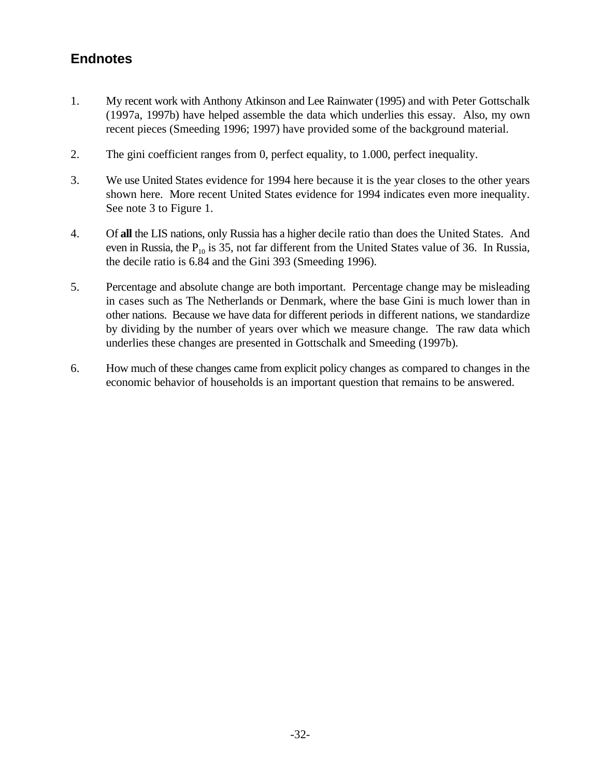# **Endnotes**

- 1. My recent work with Anthony Atkinson and Lee Rainwater (1995) and with Peter Gottschalk (1997a, 1997b) have helped assemble the data which underlies this essay. Also, my own recent pieces (Smeeding 1996; 1997) have provided some of the background material.
- 2. The gini coefficient ranges from 0, perfect equality, to 1.000, perfect inequality.
- 3. We use United States evidence for 1994 here because it is the year closes to the other years shown here. More recent United States evidence for 1994 indicates even more inequality. See note 3 to Figure 1.
- 4. Of **all** the LIS nations, only Russia has a higher decile ratio than does the United States. And even in Russia, the  $P_{10}$  is 35, not far different from the United States value of 36. In Russia, the decile ratio is 6.84 and the Gini 393 (Smeeding 1996).
- 5. Percentage and absolute change are both important. Percentage change may be misleading in cases such as The Netherlands or Denmark, where the base Gini is much lower than in other nations. Because we have data for different periods in different nations, we standardize by dividing by the number of years over which we measure change. The raw data which underlies these changes are presented in Gottschalk and Smeeding (1997b).
- 6. How much of these changes came from explicit policy changes as compared to changes in the economic behavior of households is an important question that remains to be answered.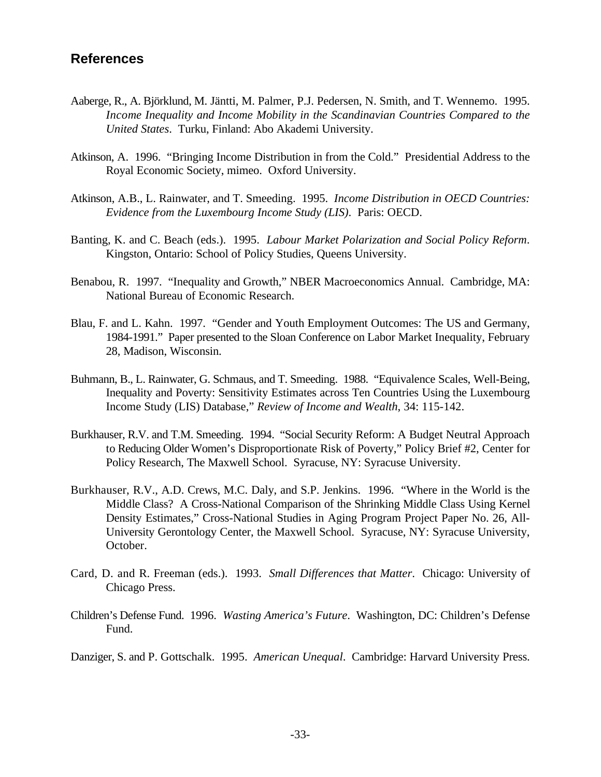# **References**

- Aaberge, R., A. Björklund, M. Jäntti, M. Palmer, P.J. Pedersen, N. Smith, and T. Wennemo. 1995. *Income Inequality and Income Mobility in the Scandinavian Countries Compared to the United States*. Turku, Finland: Abo Akademi University.
- Atkinson, A. 1996. "Bringing Income Distribution in from the Cold." Presidential Address to the Royal Economic Society, mimeo. Oxford University.
- Atkinson, A.B., L. Rainwater, and T. Smeeding. 1995. *Income Distribution in OECD Countries: Evidence from the Luxembourg Income Study (LIS)*. Paris: OECD.
- Banting, K. and C. Beach (eds.). 1995. *Labour Market Polarization and Social Policy Reform*. Kingston, Ontario: School of Policy Studies, Queens University.
- Benabou, R. 1997. "Inequality and Growth," NBER Macroeconomics Annual. Cambridge, MA: National Bureau of Economic Research.
- Blau, F. and L. Kahn. 1997. "Gender and Youth Employment Outcomes: The US and Germany, 1984-1991." Paper presented to the Sloan Conference on Labor Market Inequality, February 28, Madison, Wisconsin.
- Buhmann, B., L. Rainwater, G. Schmaus, and T. Smeeding. 1988. "Equivalence Scales, Well-Being, Inequality and Poverty: Sensitivity Estimates across Ten Countries Using the Luxembourg Income Study (LIS) Database," *Review of Income and Wealth*, 34: 115-142.
- Burkhauser, R.V. and T.M. Smeeding. 1994. "Social Security Reform: A Budget Neutral Approach to Reducing Older Women's Disproportionate Risk of Poverty," Policy Brief #2, Center for Policy Research, The Maxwell School. Syracuse, NY: Syracuse University.
- Burkhauser, R.V., A.D. Crews, M.C. Daly, and S.P. Jenkins. 1996. "Where in the World is the Middle Class? A Cross-National Comparison of the Shrinking Middle Class Using Kernel Density Estimates," Cross-National Studies in Aging Program Project Paper No. 26, All-University Gerontology Center, the Maxwell School. Syracuse, NY: Syracuse University, October.
- Card, D. and R. Freeman (eds.). 1993. *Small Differences that Matter*. Chicago: University of Chicago Press.
- Children's Defense Fund. 1996. *Wasting America's Future*. Washington, DC: Children's Defense Fund.
- Danziger, S. and P. Gottschalk. 1995. *American Unequal*. Cambridge: Harvard University Press.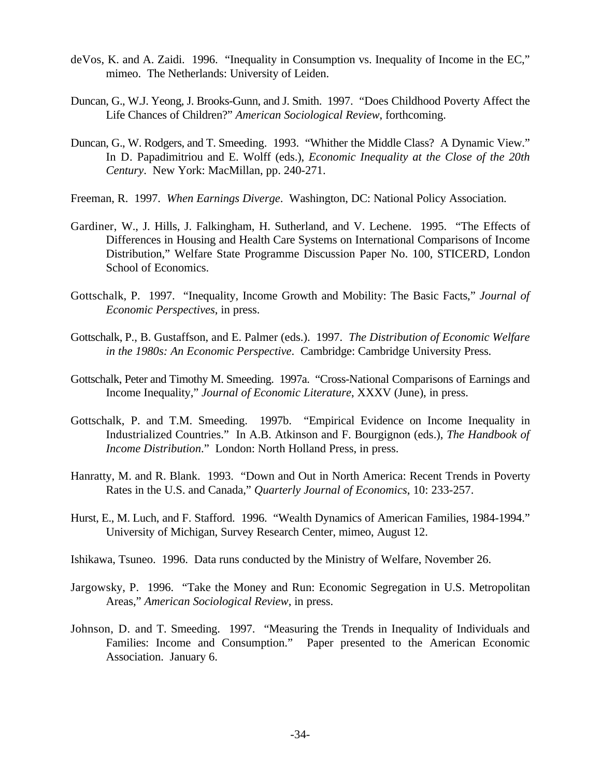- deVos, K. and A. Zaidi. 1996. "Inequality in Consumption vs. Inequality of Income in the EC," mimeo. The Netherlands: University of Leiden.
- Duncan, G., W.J. Yeong, J. Brooks-Gunn, and J. Smith. 1997. "Does Childhood Poverty Affect the Life Chances of Children?" *American Sociological Review*, forthcoming.
- Duncan, G., W. Rodgers, and T. Smeeding. 1993. "Whither the Middle Class? A Dynamic View." In D. Papadimitriou and E. Wolff (eds.), *Economic Inequality at the Close of the 20th Century*. New York: MacMillan, pp. 240-271.
- Freeman, R. 1997. *When Earnings Diverge*. Washington, DC: National Policy Association.
- Gardiner, W., J. Hills, J. Falkingham, H. Sutherland, and V. Lechene. 1995. "The Effects of Differences in Housing and Health Care Systems on International Comparisons of Income Distribution," Welfare State Programme Discussion Paper No. 100, STICERD, London School of Economics.
- Gottschalk, P. 1997. "Inequality, Income Growth and Mobility: The Basic Facts," *Journal of Economic Perspectives*, in press.
- Gottschalk, P., B. Gustaffson, and E. Palmer (eds.). 1997. *The Distribution of Economic Welfare in the 1980s: An Economic Perspective*. Cambridge: Cambridge University Press.
- Gottschalk, Peter and Timothy M. Smeeding. 1997a. "Cross-National Comparisons of Earnings and Income Inequality," *Journal of Economic Literature*, XXXV (June), in press.
- Gottschalk, P. and T.M. Smeeding. 1997b. "Empirical Evidence on Income Inequality in Industrialized Countries." In A.B. Atkinson and F. Bourgignon (eds.), *The Handbook of Income Distribution*." London: North Holland Press, in press.
- Hanratty, M. and R. Blank. 1993. "Down and Out in North America: Recent Trends in Poverty Rates in the U.S. and Canada," *Quarterly Journal of Economics*, 10: 233-257.
- Hurst, E., M. Luch, and F. Stafford. 1996. "Wealth Dynamics of American Families, 1984-1994." University of Michigan, Survey Research Center, mimeo, August 12.
- Ishikawa, Tsuneo. 1996. Data runs conducted by the Ministry of Welfare, November 26.
- Jargowsky, P. 1996. "Take the Money and Run: Economic Segregation in U.S. Metropolitan Areas," *American Sociological Review*, in press.
- Johnson, D. and T. Smeeding. 1997. "Measuring the Trends in Inequality of Individuals and Families: Income and Consumption." Paper presented to the American Economic Association. January 6.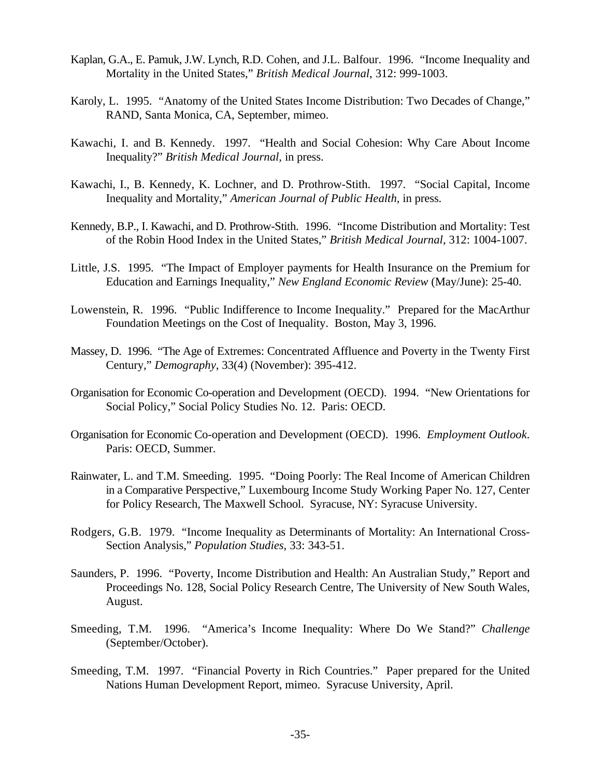- Kaplan, G.A., E. Pamuk, J.W. Lynch, R.D. Cohen, and J.L. Balfour. 1996. "Income Inequality and Mortality in the United States," *British Medical Journal*, 312: 999-1003.
- Karoly, L. 1995. "Anatomy of the United States Income Distribution: Two Decades of Change," RAND, Santa Monica, CA, September, mimeo.
- Kawachi, I. and B. Kennedy. 1997. "Health and Social Cohesion: Why Care About Income Inequality?" *British Medical Journal,* in press.
- Kawachi, I., B. Kennedy, K. Lochner, and D. Prothrow-Stith. 1997. "Social Capital, Income Inequality and Mortality," *American Journal of Public Health*, in press.
- Kennedy, B.P., I. Kawachi, and D. Prothrow-Stith. 1996. "Income Distribution and Mortality: Test of the Robin Hood Index in the United States," *British Medical Journal*, 312: 1004-1007.
- Little, J.S. 1995. "The Impact of Employer payments for Health Insurance on the Premium for Education and Earnings Inequality," *New England Economic Review* (May/June): 25-40.
- Lowenstein, R. 1996. "Public Indifference to Income Inequality." Prepared for the MacArthur Foundation Meetings on the Cost of Inequality. Boston, May 3, 1996.
- Massey, D. 1996. "The Age of Extremes: Concentrated Affluence and Poverty in the Twenty First Century," *Demography*, 33(4) (November): 395-412.
- Organisation for Economic Co-operation and Development (OECD). 1994. "New Orientations for Social Policy," Social Policy Studies No. 12. Paris: OECD.
- Organisation for Economic Co-operation and Development (OECD). 1996. *Employment Outlook*. Paris: OECD, Summer.
- Rainwater, L. and T.M. Smeeding. 1995. "Doing Poorly: The Real Income of American Children in a Comparative Perspective," Luxembourg Income Study Working Paper No. 127, Center for Policy Research, The Maxwell School. Syracuse, NY: Syracuse University.
- Rodgers, G.B. 1979. "Income Inequality as Determinants of Mortality: An International Cross-Section Analysis," *Population Studies*, 33: 343-51.
- Saunders, P. 1996. "Poverty, Income Distribution and Health: An Australian Study," Report and Proceedings No. 128, Social Policy Research Centre, The University of New South Wales, August.
- Smeeding, T.M. 1996. "America's Income Inequality: Where Do We Stand?" *Challenge* (September/October).
- Smeeding, T.M. 1997. "Financial Poverty in Rich Countries." Paper prepared for the United Nations Human Development Report, mimeo. Syracuse University, April.